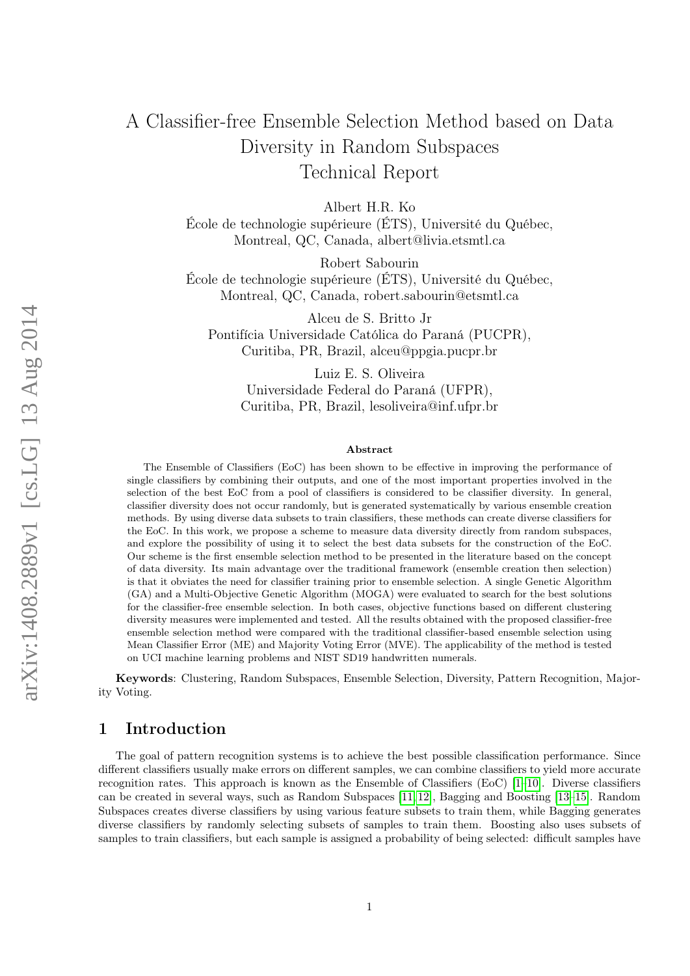# A Classifier-free Ensemble Selection Method based on Data Diversity in Random Subspaces Technical Report

Albert H.R. Ko

École de technologie supérieure (ÉTS), Université du Québec, Montreal, QC, Canada, albert@livia.etsmtl.ca

Robert Sabourin École de technologie supérieure (ÉTS), Université du Québec, Montreal, QC, Canada, robert.sabourin@etsmtl.ca

Alceu de S. Britto Jr Pontifícia Universidade Católica do Paraná (PUCPR), Curitiba, PR, Brazil, alceu@ppgia.pucpr.br

> Luiz E. S. Oliveira Universidade Federal do Paraná (UFPR), Curitiba, PR, Brazil, lesoliveira@inf.ufpr.br

#### Abstract

The Ensemble of Classifiers (EoC) has been shown to be effective in improving the performance of single classifiers by combining their outputs, and one of the most important properties involved in the selection of the best EoC from a pool of classifiers is considered to be classifier diversity. In general, classifier diversity does not occur randomly, but is generated systematically by various ensemble creation methods. By using diverse data subsets to train classifiers, these methods can create diverse classifiers for the EoC. In this work, we propose a scheme to measure data diversity directly from random subspaces, and explore the possibility of using it to select the best data subsets for the construction of the EoC. Our scheme is the first ensemble selection method to be presented in the literature based on the concept of data diversity. Its main advantage over the traditional framework (ensemble creation then selection) is that it obviates the need for classifier training prior to ensemble selection. A single Genetic Algorithm (GA) and a Multi-Objective Genetic Algorithm (MOGA) were evaluated to search for the best solutions for the classifier-free ensemble selection. In both cases, objective functions based on different clustering diversity measures were implemented and tested. All the results obtained with the proposed classifier-free ensemble selection method were compared with the traditional classifier-based ensemble selection using Mean Classifier Error (ME) and Majority Voting Error (MVE). The applicability of the method is tested on UCI machine learning problems and NIST SD19 handwritten numerals.

Keywords: Clustering, Random Subspaces, Ensemble Selection, Diversity, Pattern Recognition, Majority Voting.

# 1 Introduction

The goal of pattern recognition systems is to achieve the best possible classification performance. Since different classifiers usually make errors on different samples, we can combine classifiers to yield more accurate recognition rates. This approach is known as the Ensemble of Classifiers (EoC) [\[1–](#page-20-0)[10\]](#page-21-0). Diverse classifiers can be created in several ways, such as Random Subspaces [\[11,](#page-21-1)[12\]](#page-21-2), Bagging and Boosting [\[13–](#page-21-3)[15\]](#page-21-4). Random Subspaces creates diverse classifiers by using various feature subsets to train them, while Bagging generates diverse classifiers by randomly selecting subsets of samples to train them. Boosting also uses subsets of samples to train classifiers, but each sample is assigned a probability of being selected: difficult samples have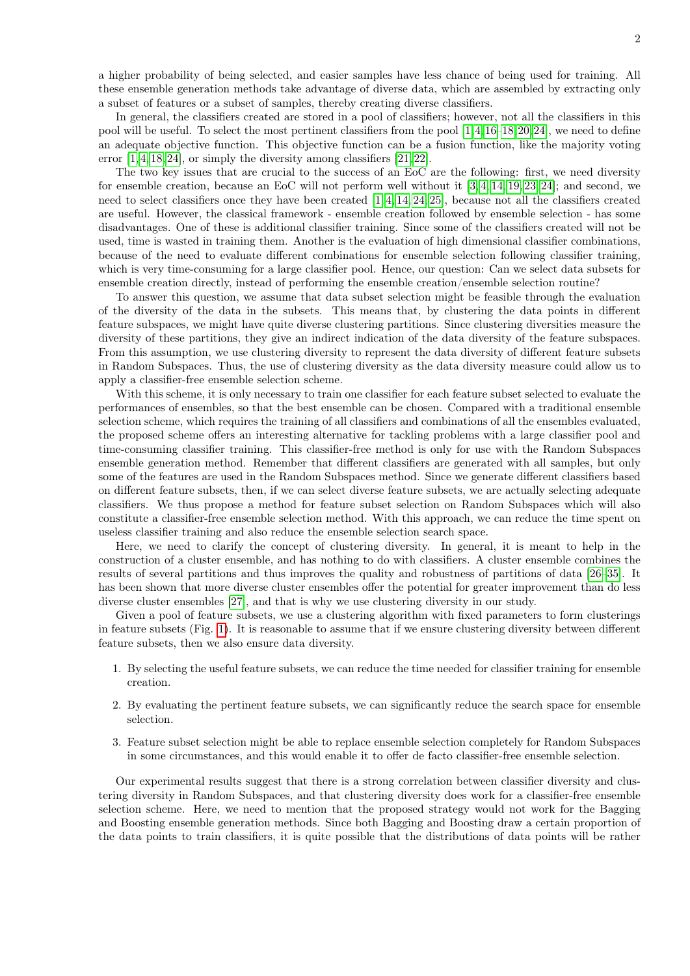a higher probability of being selected, and easier samples have less chance of being used for training. All these ensemble generation methods take advantage of diverse data, which are assembled by extracting only a subset of features or a subset of samples, thereby creating diverse classifiers.

In general, the classifiers created are stored in a pool of classifiers; however, not all the classifiers in this pool will be useful. To select the most pertinent classifiers from the pool  $[1,4,16-18,20,24]$  $[1,4,16-18,20,24]$  $[1,4,16-18,20,24]$  $[1,4,16-18,20,24]$  $[1,4,16-18,20,24]$  $[1,4,16-18,20,24]$ , we need to define an adequate objective function. This objective function can be a fusion function, like the majority voting error  $[1, 4, 18, 24]$  $[1, 4, 18, 24]$  $[1, 4, 18, 24]$  $[1, 4, 18, 24]$ , or simply the diversity among classifiers  $[21, 22]$  $[21, 22]$ .

The two key issues that are crucial to the success of an EoC are the following: first, we need diversity for ensemble creation, because an EoC will not perform well without it [\[3,](#page-20-2) [4,](#page-20-1) [14,](#page-21-11) [19,](#page-21-12) [23,](#page-21-13) [24\]](#page-21-8); and second, we need to select classifiers once they have been created [\[1,](#page-20-0) [4,](#page-20-1) [14,](#page-21-11) [24,](#page-21-8) [25\]](#page-21-14), because not all the classifiers created are useful. However, the classical framework - ensemble creation followed by ensemble selection - has some disadvantages. One of these is additional classifier training. Since some of the classifiers created will not be used, time is wasted in training them. Another is the evaluation of high dimensional classifier combinations, because of the need to evaluate different combinations for ensemble selection following classifier training, which is very time-consuming for a large classifier pool. Hence, our question: Can we select data subsets for ensemble creation directly, instead of performing the ensemble creation/ensemble selection routine?

To answer this question, we assume that data subset selection might be feasible through the evaluation of the diversity of the data in the subsets. This means that, by clustering the data points in different feature subspaces, we might have quite diverse clustering partitions. Since clustering diversities measure the diversity of these partitions, they give an indirect indication of the data diversity of the feature subspaces. From this assumption, we use clustering diversity to represent the data diversity of different feature subsets in Random Subspaces. Thus, the use of clustering diversity as the data diversity measure could allow us to apply a classifier-free ensemble selection scheme.

With this scheme, it is only necessary to train one classifier for each feature subset selected to evaluate the performances of ensembles, so that the best ensemble can be chosen. Compared with a traditional ensemble selection scheme, which requires the training of all classifiers and combinations of all the ensembles evaluated, the proposed scheme offers an interesting alternative for tackling problems with a large classifier pool and time-consuming classifier training. This classifier-free method is only for use with the Random Subspaces ensemble generation method. Remember that different classifiers are generated with all samples, but only some of the features are used in the Random Subspaces method. Since we generate different classifiers based on different feature subsets, then, if we can select diverse feature subsets, we are actually selecting adequate classifiers. We thus propose a method for feature subset selection on Random Subspaces which will also constitute a classifier-free ensemble selection method. With this approach, we can reduce the time spent on useless classifier training and also reduce the ensemble selection search space.

Here, we need to clarify the concept of clustering diversity. In general, it is meant to help in the construction of a cluster ensemble, and has nothing to do with classifiers. A cluster ensemble combines the results of several partitions and thus improves the quality and robustness of partitions of data [\[26–](#page-21-15)[35\]](#page-22-0). It has been shown that more diverse cluster ensembles offer the potential for greater improvement than do less diverse cluster ensembles [\[27\]](#page-22-1), and that is why we use clustering diversity in our study.

Given a pool of feature subsets, we use a clustering algorithm with fixed parameters to form clusterings in feature subsets (Fig. [1\)](#page-2-0). It is reasonable to assume that if we ensure clustering diversity between different feature subsets, then we also ensure data diversity.

- 1. By selecting the useful feature subsets, we can reduce the time needed for classifier training for ensemble creation.
- 2. By evaluating the pertinent feature subsets, we can significantly reduce the search space for ensemble selection.
- 3. Feature subset selection might be able to replace ensemble selection completely for Random Subspaces in some circumstances, and this would enable it to offer de facto classifier-free ensemble selection.

Our experimental results suggest that there is a strong correlation between classifier diversity and clustering diversity in Random Subspaces, and that clustering diversity does work for a classifier-free ensemble selection scheme. Here, we need to mention that the proposed strategy would not work for the Bagging and Boosting ensemble generation methods. Since both Bagging and Boosting draw a certain proportion of the data points to train classifiers, it is quite possible that the distributions of data points will be rather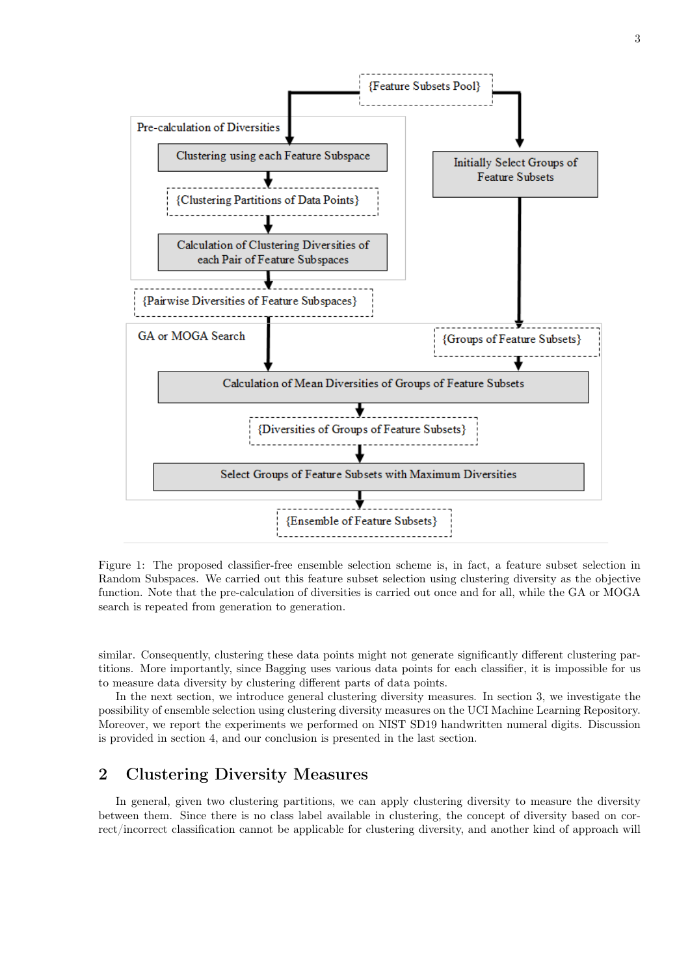

<span id="page-2-0"></span>Figure 1: The proposed classifier-free ensemble selection scheme is, in fact, a feature subset selection in Random Subspaces. We carried out this feature subset selection using clustering diversity as the objective function. Note that the pre-calculation of diversities is carried out once and for all, while the GA or MOGA search is repeated from generation to generation.

similar. Consequently, clustering these data points might not generate significantly different clustering partitions. More importantly, since Bagging uses various data points for each classifier, it is impossible for us to measure data diversity by clustering different parts of data points.

In the next section, we introduce general clustering diversity measures. In section 3, we investigate the possibility of ensemble selection using clustering diversity measures on the UCI Machine Learning Repository. Moreover, we report the experiments we performed on NIST SD19 handwritten numeral digits. Discussion is provided in section 4, and our conclusion is presented in the last section.

# 2 Clustering Diversity Measures

In general, given two clustering partitions, we can apply clustering diversity to measure the diversity between them. Since there is no class label available in clustering, the concept of diversity based on correct/incorrect classification cannot be applicable for clustering diversity, and another kind of approach will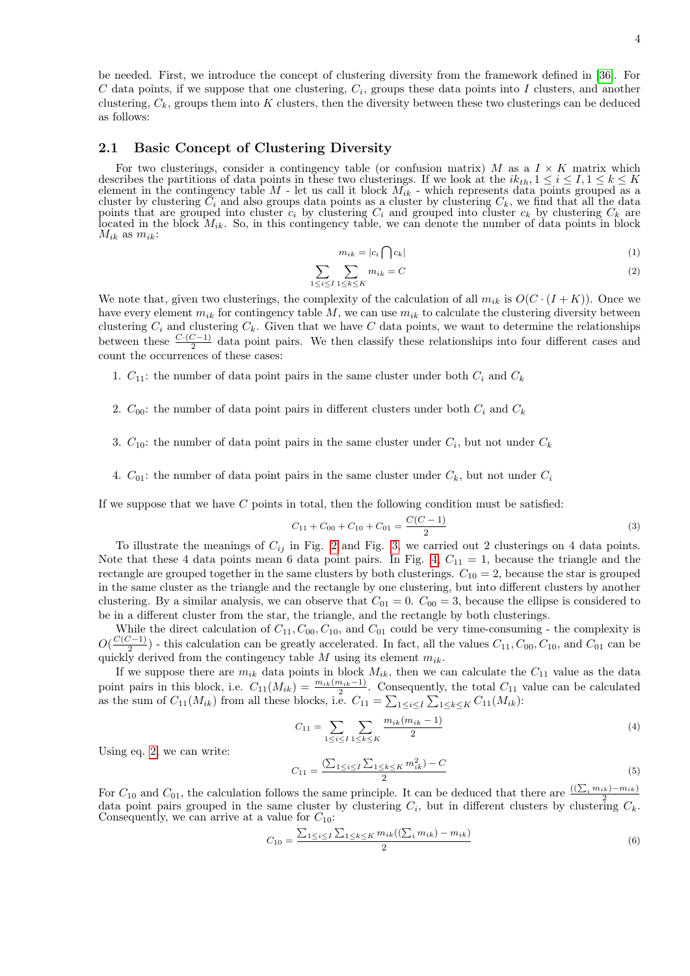be needed. First, we introduce the concept of clustering diversity from the framework defined in [\[36\]](#page-22-2). For C data points, if we suppose that one clustering,  $C_i$ , groups these data points into I clusters, and another clustering,  $C_k$ , groups them into K clusters, then the diversity between these two clusterings can be deduced as follows:

## 2.1 Basic Concept of Clustering Diversity

For two clusterings, consider a contingency table (or confusion matrix) M as a  $I \times K$  matrix which describes the partitions of data points in these two clusterings. If we look at the  $ik_{th}$ ,  $1 \le i \le I, 1 \le k \le K$ element in the contingency table  $M$  - let us call it block  $M_{ik}$  - which represents data points grouped as a cluster by clustering  $C_i$  and also groups data points as a cluster by clustering  $C_k$ , we find that all the data points that are grouped into cluster  $c_i$  by clustering  $C_i$  and grouped into cluster  $c_k$  by clustering  $C_k$  are located in the block  $M_{ik}$ . So, in this contingency table, we can denote the number of data points in block  $M_{ik}$  as  $m_{ik}$ :

<span id="page-3-0"></span>
$$
m_{ik} = |c_i \bigcap c_k| \tag{1}
$$

$$
\sum_{1 \le i \le I} \sum_{1 \le k \le K} m_{ik} = C \tag{2}
$$

We note that, given two clusterings, the complexity of the calculation of all  $m_{ik}$  is  $O(C \cdot (I + K))$ . Once we have every element  $m_{ik}$  for contingency table M, we can use  $m_{ik}$  to calculate the clustering diversity between clustering  $C_i$  and clustering  $C_k$ . Given that we have C data points, we want to determine the relationships between these  $\frac{C \cdot (C-1)}{2}$  data point pairs. We then classify these relationships into four different cases and count the occurrences of these cases:

- 1.  $C_{11}$ : the number of data point pairs in the same cluster under both  $C_i$  and  $C_k$
- 2.  $C_{00}$ : the number of data point pairs in different clusters under both  $C_i$  and  $C_k$
- 3.  $C_{10}$ : the number of data point pairs in the same cluster under  $C_i$ , but not under  $C_k$
- 4.  $C_{01}$ : the number of data point pairs in the same cluster under  $C_k$ , but not under  $C_i$

If we suppose that we have  $C$  points in total, then the following condition must be satisfied:

$$
C_{11} + C_{00} + C_{10} + C_{01} = \frac{C(C-1)}{2}
$$
\n(3)

To illustrate the meanings of  $C_{ij}$  in Fig. [2](#page-4-0) and Fig. [3,](#page-4-1) we carried out 2 clusterings on 4 data points. Note that these 4 data points mean 6 data point pairs. In Fig. [4,](#page-4-2)  $C_{11} = 1$ , because the triangle and the rectangle are grouped together in the same clusters by both clusterings.  $C_{10} = 2$ , because the star is grouped in the same cluster as the triangle and the rectangle by one clustering, but into different clusters by another clustering. By a similar analysis, we can observe that  $C_{01} = 0$ .  $C_{00} = 3$ , because the ellipse is considered to be in a different cluster from the star, the triangle, and the rectangle by both clusterings.

While the direct calculation of  $C_{11}$ ,  $C_{00}$ ,  $C_{10}$ , and  $C_{01}$  could be very time-consuming - the complexity is  $O(\frac{C(C-1)}{2})$  $\frac{Z(-1)}{2}$ ) - this calculation can be greatly accelerated. In fact, all the values  $C_{11}, C_{00}, C_{10}$ , and  $C_{01}$  can be quickly derived from the contingency table  $M$  using its element  $m_{ik}$ .

If we suppose there are  $m_{ik}$  data points in block  $M_{ik}$ , then we can calculate the  $C_{11}$  value as the data point pairs in this block, i.e.  $C_{11}(M_{ik}) = \frac{m_{ik}(m_{ik}-1)}{2}$ . Consequently, the total  $C_{11}$  value can be calculated as the sum of  $C_{11}(M_{ik})$  from all these blocks, i.e.  $C_{11} = \sum_{1 \leq i \leq I} \sum_{1 \leq k \leq K} C_{11}(M_{ik})$ :

$$
C_{11} = \sum_{1 \le i \le I} \sum_{1 \le k \le K} \frac{m_{ik}(m_{ik} - 1)}{2} \tag{4}
$$

Using eq. [2,](#page-3-0) we can write:

$$
C_{11} = \frac{\left(\sum_{1 \le i \le I} \sum_{1 \le k \le K} m_{ik}^2\right) - C}{2} \tag{5}
$$

For  $C_{10}$  and  $C_{01}$ , the calculation follows the same principle. It can be deduced that there are  $\frac{((\sum_i m_{ik})-m_{ik})}{2}$ data point pairs grouped in the same cluster by clustering  $C_i$ , but in different clusters by clustering  $C_k$ . Consequently, we can arrive at a value for  $C_{10}$ :

$$
C_{10} = \frac{\sum_{1 \le i \le I} \sum_{1 \le k \le K} m_{ik}((\sum_i m_{ik}) - m_{ik})}{2}
$$
(6)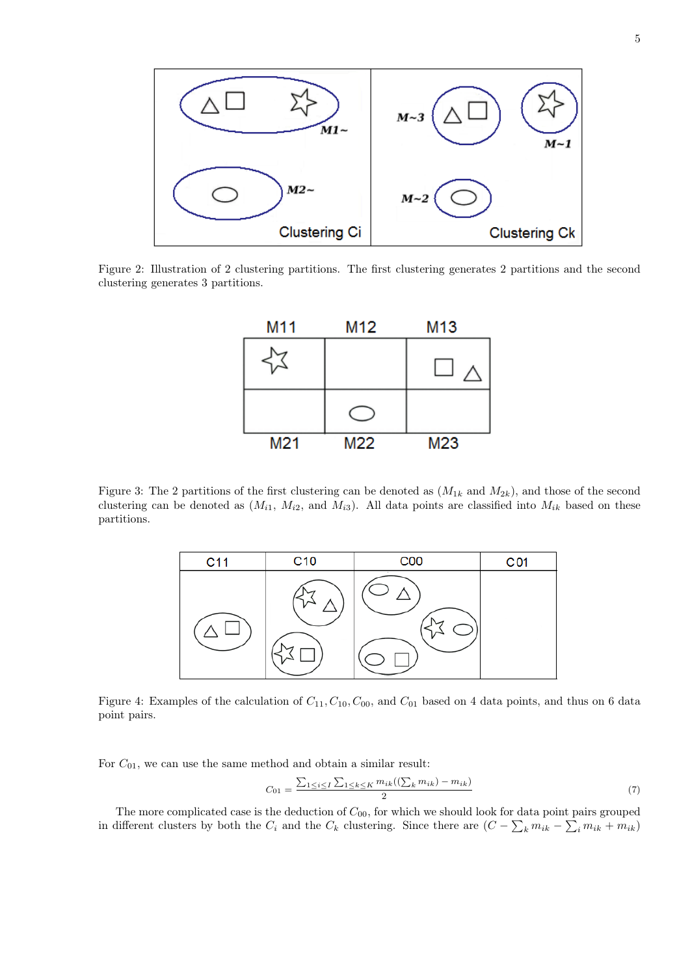

Figure 2: Illustration of 2 clustering partitions. The first clustering generates 2 partitions and the second clustering generates 3 partitions.

<span id="page-4-1"></span><span id="page-4-0"></span>

Figure 3: The 2 partitions of the first clustering can be denoted as  $(M_{1k}$  and  $M_{2k})$ , and those of the second clustering can be denoted as  $(M_{i1}, M_{i2}, \text{and } M_{i3})$ . All data points are classified into  $M_{ik}$  based on these partitions.



Figure 4: Examples of the calculation of  $C_{11}$ ,  $C_{10}$ ,  $C_{00}$ , and  $C_{01}$  based on 4 data points, and thus on 6 data point pairs.

For  $C_{01}$ , we can use the same method and obtain a similar result:

<span id="page-4-2"></span>
$$
C_{01} = \frac{\sum_{1 \le i \le I} \sum_{1 \le k \le K} m_{ik}((\sum_k m_{ik}) - m_{ik})}{2} \tag{7}
$$

The more complicated case is the deduction of  $C_{00}$ , for which we should look for data point pairs grouped in different clusters by both the  $C_i$  and the  $C_k$  clustering. Since there are  $(C - \sum_k m_{ik} - \sum_i m_{ik} + m_{ik})$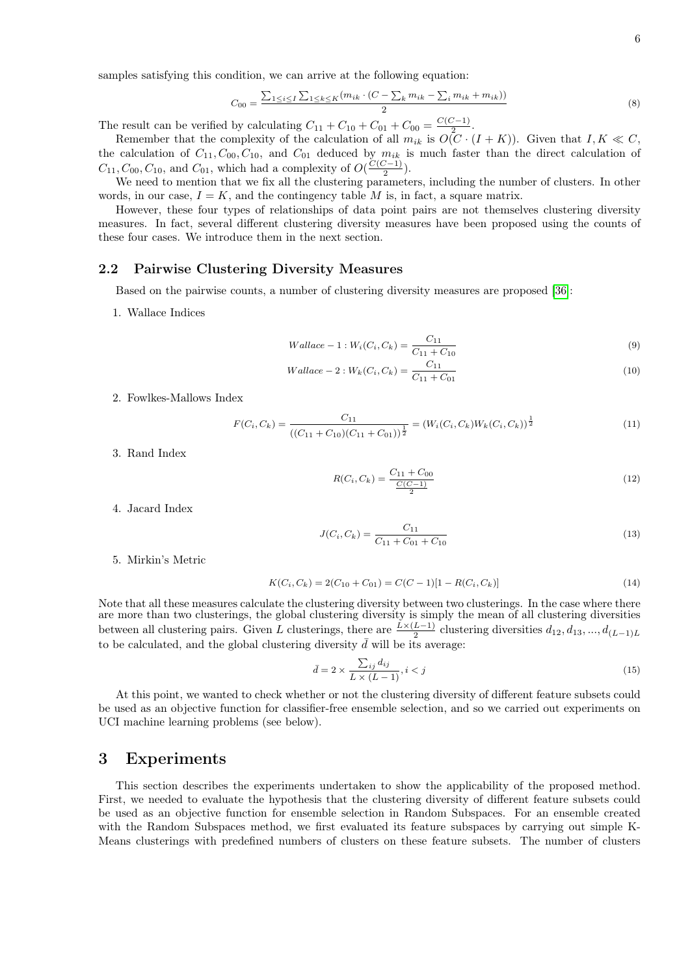samples satisfying this condition, we can arrive at the following equation:

$$
C_{00} = \frac{\sum_{1 \le i \le I} \sum_{1 \le k \le K} (m_{ik} \cdot (C - \sum_k m_{ik} - \sum_i m_{ik} + m_{ik}))}{2}
$$
(8)

The result can be verified by calculating  $C_{11} + C_{10} + C_{01} + C_{00} = \frac{C(C-1)}{2}$  $\frac{2^{j-1}}{2}$ .

Remember that the complexity of the calculation of all  $m_{ik}$  is  $O(C \cdot (I + K))$ . Given that  $I, K \ll C$ , the calculation of  $C_{11}$ ,  $C_{00}$ ,  $C_{10}$ , and  $C_{01}$  deduced by  $m_{ik}$  is much faster than the direct calculation of  $C_{11}, C_{00}, C_{10}$ , and  $C_{01}$ , which had a complexity of  $O(\frac{C(C-1)}{2})$  $\frac{2^{j-1}}{2}$ ).

We need to mention that we fix all the clustering parameters, including the number of clusters. In other words, in our case,  $I = K$ , and the contingency table M is, in fact, a square matrix.

However, these four types of relationships of data point pairs are not themselves clustering diversity measures. In fact, several different clustering diversity measures have been proposed using the counts of these four cases. We introduce them in the next section.

### 2.2 Pairwise Clustering Diversity Measures

Based on the pairwise counts, a number of clustering diversity measures are proposed [\[36\]](#page-22-2):

1. Wallace Indices

$$
Wallace - 1 : W_i(C_i, C_k) = \frac{C_{11}}{C_{11} + C_{10}} \tag{9}
$$

$$
Wallace - 2 : W_k(C_i, C_k) = \frac{C_{11}}{C_{11} + C_{01}} \tag{10}
$$

2. Fowlkes-Mallows Index

$$
F(C_i, C_k) = \frac{C_{11}}{((C_{11} + C_{10})(C_{11} + C_{01}))^{\frac{1}{2}}} = (W_i(C_i, C_k)W_k(C_i, C_k))^{\frac{1}{2}}
$$
\n(11)

3. Rand Index

$$
R(C_i, C_k) = \frac{C_{11} + C_{00}}{\frac{C(C-1)}{2}}
$$
\n(12)

4. Jacard Index

$$
J(C_i, C_k) = \frac{C_{11}}{C_{11} + C_{01} + C_{10}}\tag{13}
$$

5. Mirkin's Metric

$$
K(C_i, C_k) = 2(C_{10} + C_{01}) = C(C - 1)[1 - R(C_i, C_k)]
$$
\n(14)

Note that all these measures calculate the clustering diversity between two clusterings. In the case where there are more than two clusterings, the global clustering diversity is simply the mean of all clustering diversities between all clustering pairs. Given L clusterings, there are  $\frac{L\times(L-1)}{2}$  clustering diversities  $d_{12}, d_{13}, ..., d_{(L-1)L}$ to be calculated, and the global clustering diversity  $\bar{d}$  will be its average:

<span id="page-5-0"></span>
$$
\bar{d} = 2 \times \frac{\sum_{ij} d_{ij}}{L \times (L-1)}, i < j \tag{15}
$$

At this point, we wanted to check whether or not the clustering diversity of different feature subsets could be used as an objective function for classifier-free ensemble selection, and so we carried out experiments on UCI machine learning problems (see below).

## 3 Experiments

This section describes the experiments undertaken to show the applicability of the proposed method. First, we needed to evaluate the hypothesis that the clustering diversity of different feature subsets could be used as an objective function for ensemble selection in Random Subspaces. For an ensemble created with the Random Subspaces method, we first evaluated its feature subspaces by carrying out simple K-Means clusterings with predefined numbers of clusters on these feature subsets. The number of clusters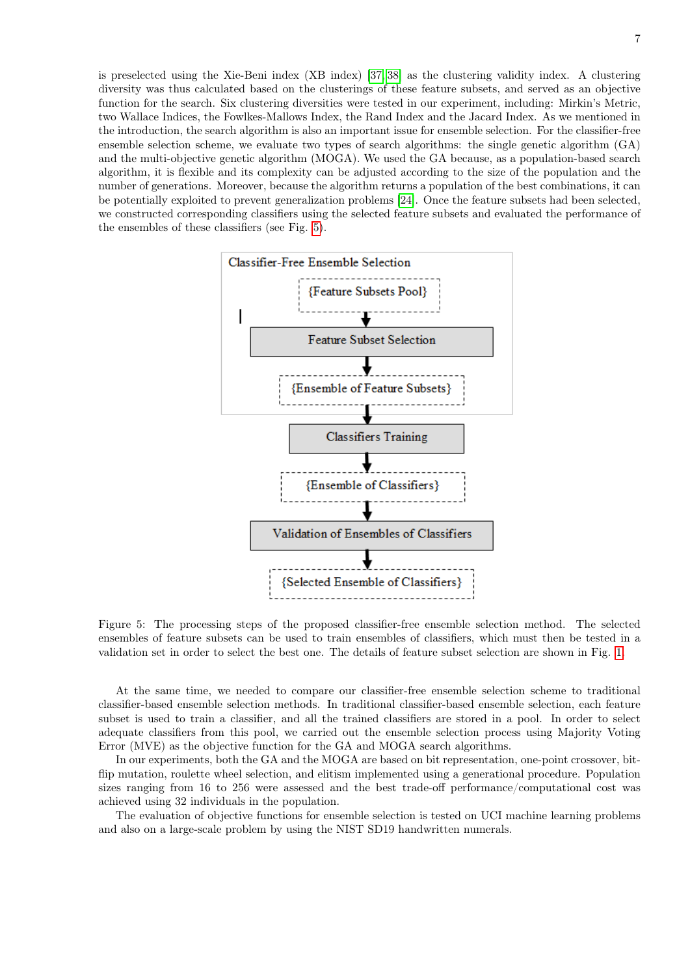is preselected using the Xie-Beni index (XB index) [\[37,](#page-22-3) [38\]](#page-22-4) as the clustering validity index. A clustering diversity was thus calculated based on the clusterings of these feature subsets, and served as an objective function for the search. Six clustering diversities were tested in our experiment, including: Mirkin's Metric, two Wallace Indices, the Fowlkes-Mallows Index, the Rand Index and the Jacard Index. As we mentioned in the introduction, the search algorithm is also an important issue for ensemble selection. For the classifier-free ensemble selection scheme, we evaluate two types of search algorithms: the single genetic algorithm (GA) and the multi-objective genetic algorithm (MOGA). We used the GA because, as a population-based search algorithm, it is flexible and its complexity can be adjusted according to the size of the population and the number of generations. Moreover, because the algorithm returns a population of the best combinations, it can be potentially exploited to prevent generalization problems [\[24\]](#page-21-8). Once the feature subsets had been selected, we constructed corresponding classifiers using the selected feature subsets and evaluated the performance of the ensembles of these classifiers (see Fig. [5\)](#page-6-0).



<span id="page-6-0"></span>Figure 5: The processing steps of the proposed classifier-free ensemble selection method. The selected ensembles of feature subsets can be used to train ensembles of classifiers, which must then be tested in a validation set in order to select the best one. The details of feature subset selection are shown in Fig. [1.](#page-2-0)

At the same time, we needed to compare our classifier-free ensemble selection scheme to traditional classifier-based ensemble selection methods. In traditional classifier-based ensemble selection, each feature subset is used to train a classifier, and all the trained classifiers are stored in a pool. In order to select adequate classifiers from this pool, we carried out the ensemble selection process using Majority Voting Error (MVE) as the objective function for the GA and MOGA search algorithms.

In our experiments, both the GA and the MOGA are based on bit representation, one-point crossover, bitflip mutation, roulette wheel selection, and elitism implemented using a generational procedure. Population sizes ranging from 16 to 256 were assessed and the best trade-off performance/computational cost was achieved using 32 individuals in the population.

The evaluation of objective functions for ensemble selection is tested on UCI machine learning problems and also on a large-scale problem by using the NIST SD19 handwritten numerals.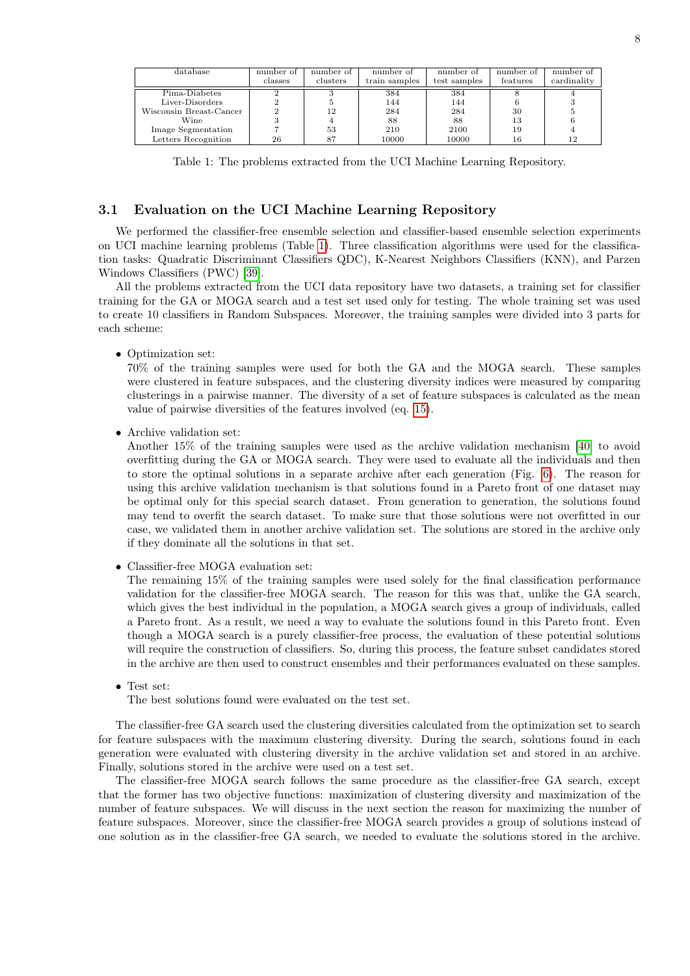| database                | number of | number of | number of     | number of    | number of | number of   |
|-------------------------|-----------|-----------|---------------|--------------|-----------|-------------|
|                         | classes   | clusters  | train samples | test samples | features  | cardinality |
| Pima-Diabetes           |           |           | 384           | 384          |           |             |
| Liver-Disorders         |           |           | 144           | 144          |           |             |
| Wisconsin Breast-Cancer |           | 12        | 284           | 284          | 30        |             |
| Wine                    |           |           | 88            | 88           | 13        |             |
| Image Segmentation      |           | 53        | 210           | 2100         | 19        |             |
| Letters Recognition     | 26        | 87        | 10000         | 10000        | 16        | 12          |

<span id="page-7-0"></span>Table 1: The problems extracted from the UCI Machine Learning Repository.

## 3.1 Evaluation on the UCI Machine Learning Repository

We performed the classifier-free ensemble selection and classifier-based ensemble selection experiments on UCI machine learning problems (Table [1\)](#page-7-0). Three classification algorithms were used for the classification tasks: Quadratic Discriminant Classifiers QDC), K-Nearest Neighbors Classifiers (KNN), and Parzen Windows Classifiers (PWC) [\[39\]](#page-22-5).

All the problems extracted from the UCI data repository have two datasets, a training set for classifier training for the GA or MOGA search and a test set used only for testing. The whole training set was used to create 10 classifiers in Random Subspaces. Moreover, the training samples were divided into 3 parts for each scheme:

• Optimization set:

70% of the training samples were used for both the GA and the MOGA search. These samples were clustered in feature subspaces, and the clustering diversity indices were measured by comparing clusterings in a pairwise manner. The diversity of a set of feature subspaces is calculated as the mean value of pairwise diversities of the features involved (eq. [15\)](#page-5-0).

• Archive validation set:

Another 15% of the training samples were used as the archive validation mechanism [\[40\]](#page-22-6) to avoid overfitting during the GA or MOGA search. They were used to evaluate all the individuals and then to store the optimal solutions in a separate archive after each generation (Fig. [6\)](#page-8-0). The reason for using this archive validation mechanism is that solutions found in a Pareto front of one dataset may be optimal only for this special search dataset. From generation to generation, the solutions found may tend to overfit the search dataset. To make sure that those solutions were not overfitted in our case, we validated them in another archive validation set. The solutions are stored in the archive only if they dominate all the solutions in that set.

• Classifier-free MOGA evaluation set:

The remaining 15% of the training samples were used solely for the final classification performance validation for the classifier-free MOGA search. The reason for this was that, unlike the GA search, which gives the best individual in the population, a MOGA search gives a group of individuals, called a Pareto front. As a result, we need a way to evaluate the solutions found in this Pareto front. Even though a MOGA search is a purely classifier-free process, the evaluation of these potential solutions will require the construction of classifiers. So, during this process, the feature subset candidates stored in the archive are then used to construct ensembles and their performances evaluated on these samples.

• Test set:

The best solutions found were evaluated on the test set.

The classifier-free GA search used the clustering diversities calculated from the optimization set to search for feature subspaces with the maximum clustering diversity. During the search, solutions found in each generation were evaluated with clustering diversity in the archive validation set and stored in an archive. Finally, solutions stored in the archive were used on a test set.

The classifier-free MOGA search follows the same procedure as the classifier-free GA search, except that the former has two objective functions: maximization of clustering diversity and maximization of the number of feature subspaces. We will discuss in the next section the reason for maximizing the number of feature subspaces. Moreover, since the classifier-free MOGA search provides a group of solutions instead of one solution as in the classifier-free GA search, we needed to evaluate the solutions stored in the archive.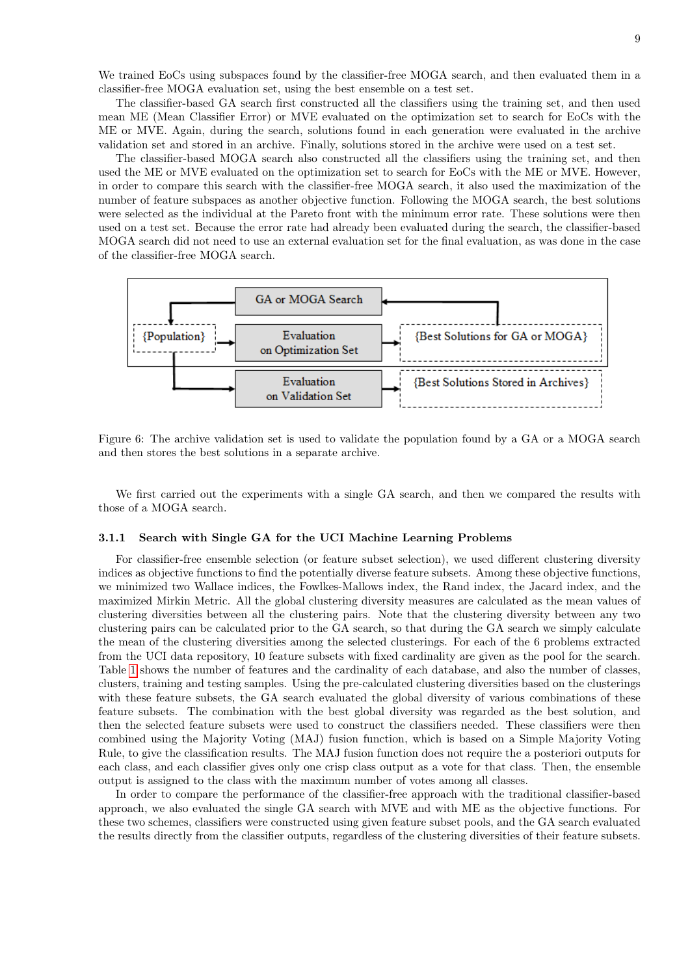We trained EoCs using subspaces found by the classifier-free MOGA search, and then evaluated them in a classifier-free MOGA evaluation set, using the best ensemble on a test set.

The classifier-based GA search first constructed all the classifiers using the training set, and then used mean ME (Mean Classifier Error) or MVE evaluated on the optimization set to search for EoCs with the ME or MVE. Again, during the search, solutions found in each generation were evaluated in the archive validation set and stored in an archive. Finally, solutions stored in the archive were used on a test set.

The classifier-based MOGA search also constructed all the classifiers using the training set, and then used the ME or MVE evaluated on the optimization set to search for EoCs with the ME or MVE. However, in order to compare this search with the classifier-free MOGA search, it also used the maximization of the number of feature subspaces as another objective function. Following the MOGA search, the best solutions were selected as the individual at the Pareto front with the minimum error rate. These solutions were then used on a test set. Because the error rate had already been evaluated during the search, the classifier-based MOGA search did not need to use an external evaluation set for the final evaluation, as was done in the case of the classifier-free MOGA search.



<span id="page-8-0"></span>Figure 6: The archive validation set is used to validate the population found by a GA or a MOGA search and then stores the best solutions in a separate archive.

We first carried out the experiments with a single GA search, and then we compared the results with those of a MOGA search.

#### 3.1.1 Search with Single GA for the UCI Machine Learning Problems

For classifier-free ensemble selection (or feature subset selection), we used different clustering diversity indices as objective functions to find the potentially diverse feature subsets. Among these objective functions, we minimized two Wallace indices, the Fowlkes-Mallows index, the Rand index, the Jacard index, and the maximized Mirkin Metric. All the global clustering diversity measures are calculated as the mean values of clustering diversities between all the clustering pairs. Note that the clustering diversity between any two clustering pairs can be calculated prior to the GA search, so that during the GA search we simply calculate the mean of the clustering diversities among the selected clusterings. For each of the 6 problems extracted from the UCI data repository, 10 feature subsets with fixed cardinality are given as the pool for the search. Table [1](#page-7-0) shows the number of features and the cardinality of each database, and also the number of classes, clusters, training and testing samples. Using the pre-calculated clustering diversities based on the clusterings with these feature subsets, the GA search evaluated the global diversity of various combinations of these feature subsets. The combination with the best global diversity was regarded as the best solution, and then the selected feature subsets were used to construct the classifiers needed. These classifiers were then combined using the Majority Voting (MAJ) fusion function, which is based on a Simple Majority Voting Rule, to give the classification results. The MAJ fusion function does not require the a posteriori outputs for each class, and each classifier gives only one crisp class output as a vote for that class. Then, the ensemble output is assigned to the class with the maximum number of votes among all classes.

In order to compare the performance of the classifier-free approach with the traditional classifier-based approach, we also evaluated the single GA search with MVE and with ME as the objective functions. For these two schemes, classifiers were constructed using given feature subset pools, and the GA search evaluated the results directly from the classifier outputs, regardless of the clustering diversities of their feature subsets.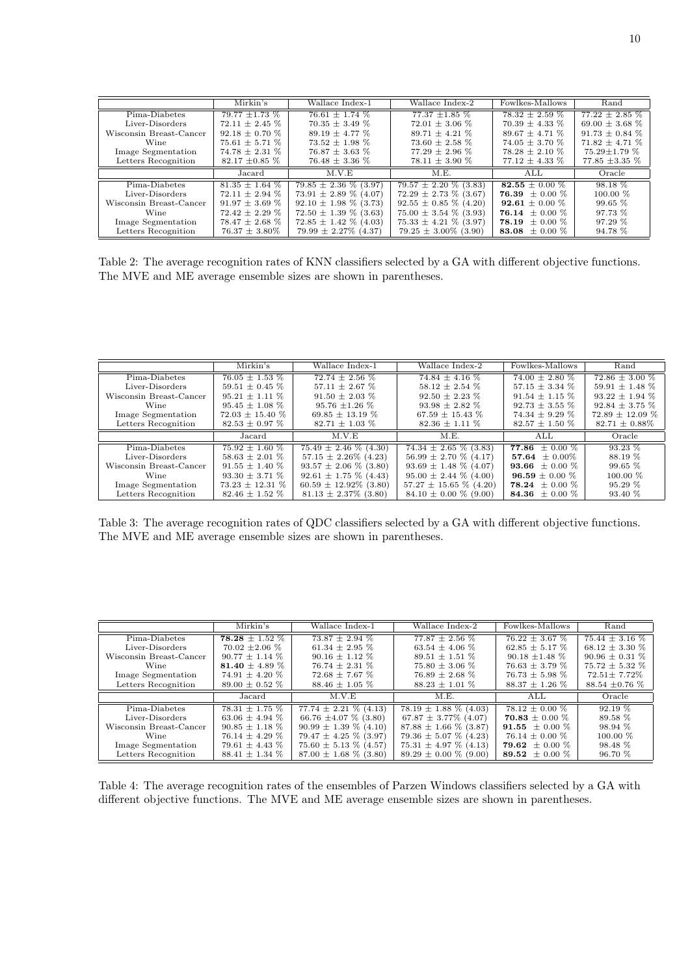|                         | Mirkin's            | Wallace Index-1            | Wallace Index-2            | Fowlkes-Mallows     | Rand               |
|-------------------------|---------------------|----------------------------|----------------------------|---------------------|--------------------|
| Pima-Diabetes           | $79.77 + 1.73$ %    | $76.61 + 1.74\%$           | $77.37 \pm 1.85$ %         | $78.32 + 2.59\%$    | $77.22 \pm 2.85$ % |
| Liver-Disorders         | $72.11 + 2.45\%$    | $70.35 \pm 3.49$ %         | $72.01 + 3.06 %$           | $70.39 + 4.33\%$    | $69.00 \pm 3.68$ % |
| Wisconsin Breast-Cancer | $92.18 \pm 0.70 \%$ | $89.19 \pm 4.77$ %         | $89.71 \pm 4.21 \%$        | $89.67 \pm 4.71\%$  | $91.73 \pm 0.84$ % |
| Wine                    | $75.61 \pm 5.71 \%$ | $73.52 + 1.98$ %           | $73.60 \pm 2.58$ %         | $74.05 + 3.70$ %    | $71.82 \pm 4.71$ % |
| Image Segmentation      | $74.78 + 2.31\%$    | $76.87 + 3.63\%$           | $77.29 \pm 2.96 \%$        | $78.28 + 2.10\%$    | $75.29 \pm 1.79$ % |
| Letters Recognition     | $82.17 \pm 0.85$ %  | $76.48 \pm 3.36 \%$        | $78.11 \pm 3.90 \%$        | $77.12 \pm 4.33$ %  | 77.85 ±3.35 %      |
|                         | Jacard              | M.V.E                      | M.E.                       | ALL.                | Oracle             |
| Pima-Diabetes           | $81.35 \pm 1.64\%$  | $79.85 \pm 2.36\%$ (3.97)  | $79.57 \pm 2.20\%$ (3.83)  | $82.55 \pm 0.00 \%$ | $98.18\%$          |
| Liver-Disorders         | $72.11 \pm 2.94 \%$ | $73.91 \pm 2.89 \% (4.07)$ | $72.29 \pm 2.73$ % (3.67)  | $76.39 + 0.00 \%$   | $100.00\%$         |
| Wisconsin Breast-Cancer | $91.97 \pm 3.69$ %  | $92.10 \pm 1.98 \%$ (3.73) | $92.55 \pm 0.85 \% (4.20)$ | $92.61 \pm 0.00 \%$ | $99.65\%$          |
| Wine                    | $72.42 \pm 2.29 \%$ | $72.50 \pm 1.39\%$ (3.63)  | $75.00 \pm 3.54 \%$ (3.93) | 76.14 $\pm$ 0.00 %  | 97.73 %            |
| Image Segmentation      | $78.47 \pm 2.68$ %  | $72.85 \pm 1.42 \% (4.03)$ | $75.33 \pm 4.21 \%$ (3.97) | 78.19 $\pm$ 0.00 %  | 97.29 %            |
| Letters Recognition     | $76.37 \pm 3.80\%$  | $79.99 \pm 2.27\%$ (4.37)  | $79.25 \pm 3.00\%$ (3.90)  | 83.08 $\pm$ 0.00 %  | 94.78 %            |

<span id="page-9-0"></span>Table 2: The average recognition rates of KNN classifiers selected by a GA with different objective functions. The MVE and ME average ensemble sizes are shown in parentheses.

|                         | Mirkin's             | Wallace Index-1            | Wallace Index-2             | Fowlkes-Mallows              | Rand                 |
|-------------------------|----------------------|----------------------------|-----------------------------|------------------------------|----------------------|
| Pima-Diabetes           | $76.05 \pm 1.53\%$   | $72.74 \pm 2.56 \%$        | $74.84 \pm 4.16\%$          | $74.00 \pm 2.80 \%$          | $72.86 \pm 3.00 \%$  |
| Liver-Disorders         | $59.51 \pm 0.45 \%$  | $57.11 + 2.67 %$           | $58.12 + 2.54 %$            | $57.15 + 3.34\%$             | $59.91 \pm 1.48$ %   |
| Wisconsin Breast-Cancer | $95.21 \pm 1.11 \%$  | $91.50 \pm 2.03$ %         | $92.50 \pm 2.23$ %          | $91.54 \pm 1.15$ %           | $93.22 \pm 1.94$ %   |
| Wine                    | $95.45 \pm 1.08 \%$  | $95.76 \pm 1.26 \%$        | $93.98 \pm 2.82\%$          | $92.73 \pm 3.55$ %           | $92.84 \pm 3.75$ %   |
| Image Segmentation      | $72.03 \pm 15.40 \%$ | $69.85 \pm 13.19$ %        | $67.59 \pm 15.43$ %         | $74.34 \pm 9.29$ %           | $72.89 \pm 12.09 \%$ |
| Letters Recognition     | $82.53 \pm 0.97$ %   | $82.71 \pm 1.03\%$         | $82.36 \pm 1.11\%$          | $82.57 \pm 1.50\%$           | $82.71 \pm 0.88\%$   |
|                         | Jacard               | M.V.E                      | M.E.                        | ALL                          | Oracle               |
| Pima-Diabetes           | $75.92 \pm 1.60 \%$  | $75.49 \pm 2.46\%$ (4.30)  | $74.34 \pm 2.65\%$ (3.83)   | 77.86 $\pm$ 0.00 %           | 93.23 %              |
| Liver-Disorders         | $58.63 \pm 2.01 \%$  | $57.15 \pm 2.26\%$ (4.23)  | $56.99 \pm 2.70\%$ (4.17)   | 57.64 $\pm$ 0.00%            | 88.19 %              |
| Wisconsin Breast-Cancer | $91.55 \pm 1.40 \%$  | $93.57 \pm 2.06\%$ (3.80)  | $93.69 \pm 1.48 \% (4.07)$  | <b>93.66</b> $\pm$ 0.00 $\%$ | 99.65 %              |
| Wine                    | $93.30 \pm 3.71 \%$  | $92.61 \pm 1.75$ % (4.43)  | $95.00 \pm 2.44 \%$ (4.00)  | $96.59 \pm 0.00 \%$          | $100.00\%$           |
| Image Segmentation      | $73.23 \pm 12.31$ %  | $60.59 \pm 12.92\%$ (3.80) | $57.27 \pm 15.65 \% (4.20)$ | 78.24 $\pm$ 0.00 %           | 95.29 %              |
| Letters Recognition     | $82.46 \pm 1.52\%$   | $81.13 \pm 2.37\%$ (3.80)  | $84.10 \pm 0.00 \%$ (9.00)  | 84.36 $\pm$ 0.00 %           | 93.40 %              |

Table 3: The average recognition rates of QDC classifiers selected by a GA with different objective functions. The MVE and ME average ensemble sizes are shown in parentheses.

|                         | Mirkin's            | Wallace Index-1            | Wallace Index-2            | Fowlkes-Mallows     | Rand                  |
|-------------------------|---------------------|----------------------------|----------------------------|---------------------|-----------------------|
| Pima-Diabetes           | $78.28 \pm 1.52\%$  | $73.87 \pm 2.94\%$         | $77.87 \pm 2.56$ %         | $76.22 + 3.67$ %    | $75.44 \pm 3.16 \%$   |
| Liver-Disorders         | $70.02 + 2.06$ %    | $61.34 + 2.95\%$           | $63.54 + 4.06 %$           | $62.85 + 5.17\%$    | $68.12 + 3.30\%$      |
| Wisconsin Breast-Cancer | $90.77 \pm 1.14$ %  | $90.16 \pm 1.12\%$         | $89.51 \pm 1.51$ %         | $90.18 \pm 1.48 \%$ | $90.96 \pm 0.31 \%$   |
| Wine                    | 81.40 $\pm$ 4.89 %  | $76.74 \pm 2.31\%$         | $75.80 \pm 3.06 \%$        | $76.63 \pm 3.79 \%$ | $75.72 \pm 5.32 \%$   |
| Image Segmentation      | $74.91 + 4.20 %$    | $72.68 \pm 7.67 \%$        | $76.89 + 2.68\%$           | $76.73 \pm 5.98 \%$ | $72.51 \pm 7.72\%$    |
| Letters Recognition     | $89.00 \pm 0.52 \%$ | $88.46 \pm 1.05 \%$        | $88.23 \pm 1.01 \%$        | $88.37 \pm 1.26 \%$ | 88.54 $\pm$ 0.76 $\%$ |
|                         | Jacard              | M.V.E                      | M.E.                       | ALL                 | Oracle                |
| Pima-Diabetes           | $78.31 \pm 1.75\%$  | $77.74 \pm 2.21 \% (4.13)$ | $78.19 \pm 1.88\%$ (4.03)  | $78.12 \pm 0.00 \%$ | 92.19%                |
| Liver-Disorders         | 63.06 $\pm$ 4.94 %  | 66.76 $\pm 4.07$ % (3.80)  | $67.87 \pm 3.77\%$ (4.07)  | 70.83 $\pm$ 0.00 %  | 89.58 %               |
| Wisconsin Breast-Cancer | $90.85 \pm 1.18\%$  | $90.99 \pm 1.39 \% (4.10)$ | $87.88 \pm 1.66$ % (3.87)  | $91.55 + 0.00 \%$   | 98.94 %               |
| Wine                    | $76.14 \pm 4.29 \%$ | $79.47 \pm 4.25 \%$ (3.97) | $79.36 \pm 5.07 \% (4.23)$ | $76.14 \pm 0.00 \%$ | $100.00\%$            |
| Image Segmentation      | $79.61 \pm 4.43 \%$ | $75.60 \pm 5.13$ % (4.57)  | $75.31 \pm 4.97$ % (4.13)  | 79.62 $\pm$ 0.00 %  | 98.48 %               |
| Letters Recognition     | $88.41 \pm 1.34 \%$ | $87.00 \pm 1.68\%$ (3.80)  | $89.29 \pm 0.00 \%$ (9.00) | 89.52 $\pm$ 0.00 %  | 96.70 %               |

<span id="page-9-1"></span>Table 4: The average recognition rates of the ensembles of Parzen Windows classifiers selected by a GA with different objective functions. The MVE and ME average ensemble sizes are shown in parentheses.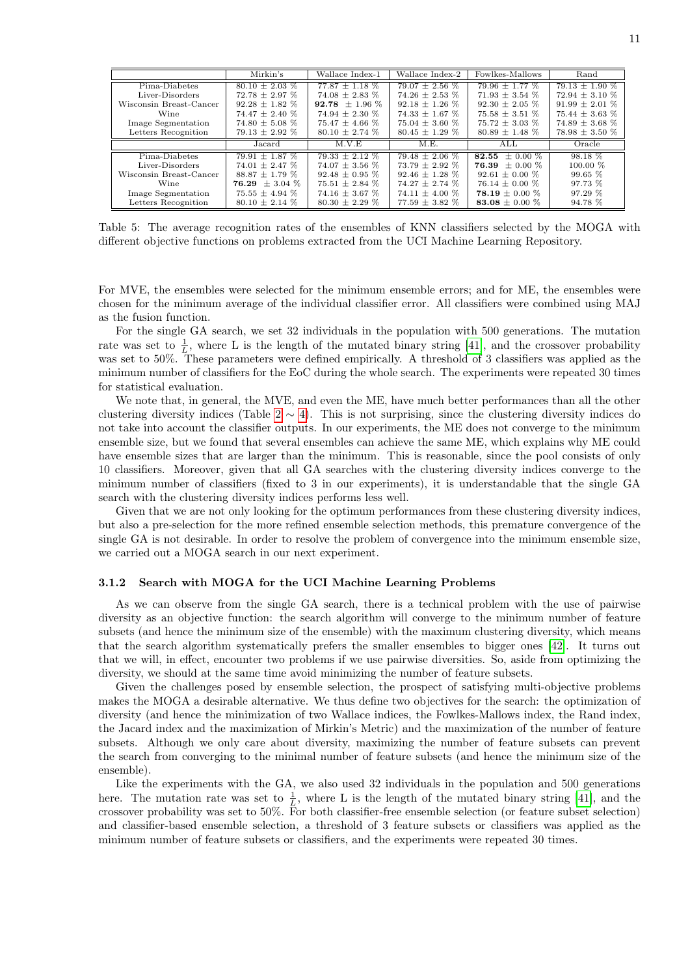<span id="page-10-0"></span>

|                         | Mirkin's            | Wallace Index-1     | Wallace Index-2     | Fowlkes-Mallows     | Rand               |
|-------------------------|---------------------|---------------------|---------------------|---------------------|--------------------|
| Pima-Diabetes           | $80.10 \pm 2.03 \%$ | $77.87 + 1.18$ %    | $79.07 + 2.56 %$    | $79.96 + 1.77\%$    | $79.13 + 1.90 %$   |
| Liver-Disorders         | $72.78 + 2.97\%$    | $74.08 \pm 2.83$ %  | $74.26 + 2.53 %$    | $71.93 + 3.54$ %    | $72.94 + 3.10 %$   |
| Wisconsin Breast-Cancer | $92.28 + 1.82\%$    | $92.78 + 1.96\%$    | $92.18 + 1.26 %$    | $92.30 + 2.05\%$    | $91.99 + 2.01 %$   |
| Wine                    | $74.47 + 2.40 \%$   | $74.94 + 2.30 %$    | $74.33 + 1.67$ %    | $75.58 + 3.51\%$    | $75.44 + 3.63$ %   |
| Image Segmentation      | $74.80 + 5.08 %$    | $75.47 + 4.66 %$    | $75.04 \pm 3.60 \%$ | $75.72 + 3.03 %$    | $74.89 \pm 3.68$ % |
| Letters Recognition     | $79.13 \pm 2.92\%$  | $80.10 \pm 2.74\%$  | $80.45 \pm 1.29 \%$ | $80.89 \pm 1.48 \%$ | $78.98 \pm 3.50\%$ |
|                         | Jacard              | M.V.E               | M.E.                | ALL.                | Oracle             |
| Pima-Diabetes           | $79.91 \pm 1.87 \%$ | $79.33 + 2.12\%$    | $79.48 \pm 2.06 \%$ | $82.55 + 0.00 \%$   | $98.18\%$          |
| Liver-Disorders         | $74.01 + 2.47\%$    | $74.07 + 3.56 %$    | $73.79 \pm 2.92\%$  | $76.39 + 0.00 \%$   | $100.00\%$         |
| Wisconsin Breast-Cancer | $88.87 + 1.79\%$    | $92.48 + 0.95\%$    | $92.46 \pm 1.28 \%$ | $92.61 + 0.00 \%$   | $99.65\%$          |
| Wine                    | $76.29 + 3.04\%$    | $75.51 \pm 2.84 \%$ | $74.27 + 2.74$ %    | $76.14 + 0.00 \%$   | 97.73 %            |
| Image Segmentation      | $75.55 \pm 4.94$ %  | $74.16 \pm 3.67 \%$ | $74.11 + 4.00 %$    | 78.19 $\pm$ 0.00 %  | 97.29 %            |
| Letters Recognition     | $80.10 \pm 2.14\%$  | $80.30 \pm 2.29 \%$ | $77.59 \pm 3.82\%$  | 83.08 $\pm$ 0.00 %  | 94.78 %            |

Table 5: The average recognition rates of the ensembles of KNN classifiers selected by the MOGA with different objective functions on problems extracted from the UCI Machine Learning Repository.

For MVE, the ensembles were selected for the minimum ensemble errors; and for ME, the ensembles were chosen for the minimum average of the individual classifier error. All classifiers were combined using MAJ as the fusion function.

For the single GA search, we set 32 individuals in the population with 500 generations. The mutation rate was set to  $\frac{1}{L}$ , where L is the length of the mutated binary string [\[41\]](#page-22-7), and the crossover probability was set to 50%. These parameters were defined empirically. A threshold of 3 classifiers was applied as the minimum number of classifiers for the EoC during the whole search. The experiments were repeated 30 times for statistical evaluation.

We note that, in general, the MVE, and even the ME, have much better performances than all the other clustering diversity indices (Table [2](#page-9-0)  $\sim$  [4\)](#page-9-1). This is not surprising, since the clustering diversity indices do not take into account the classifier outputs. In our experiments, the ME does not converge to the minimum ensemble size, but we found that several ensembles can achieve the same ME, which explains why ME could have ensemble sizes that are larger than the minimum. This is reasonable, since the pool consists of only 10 classifiers. Moreover, given that all GA searches with the clustering diversity indices converge to the minimum number of classifiers (fixed to 3 in our experiments), it is understandable that the single GA search with the clustering diversity indices performs less well.

Given that we are not only looking for the optimum performances from these clustering diversity indices, but also a pre-selection for the more refined ensemble selection methods, this premature convergence of the single GA is not desirable. In order to resolve the problem of convergence into the minimum ensemble size, we carried out a MOGA search in our next experiment.

## 3.1.2 Search with MOGA for the UCI Machine Learning Problems

As we can observe from the single GA search, there is a technical problem with the use of pairwise diversity as an objective function: the search algorithm will converge to the minimum number of feature subsets (and hence the minimum size of the ensemble) with the maximum clustering diversity, which means that the search algorithm systematically prefers the smaller ensembles to bigger ones [\[42\]](#page-22-8). It turns out that we will, in effect, encounter two problems if we use pairwise diversities. So, aside from optimizing the diversity, we should at the same time avoid minimizing the number of feature subsets.

Given the challenges posed by ensemble selection, the prospect of satisfying multi-objective problems makes the MOGA a desirable alternative. We thus define two objectives for the search: the optimization of diversity (and hence the minimization of two Wallace indices, the Fowlkes-Mallows index, the Rand index, the Jacard index and the maximization of Mirkin's Metric) and the maximization of the number of feature subsets. Although we only care about diversity, maximizing the number of feature subsets can prevent the search from converging to the minimal number of feature subsets (and hence the minimum size of the ensemble).

Like the experiments with the GA, we also used 32 individuals in the population and 500 generations here. The mutation rate was set to  $\frac{1}{L}$ , where L is the length of the mutated binary string [\[41\]](#page-22-7), and the crossover probability was set to 50%. For both classifier-free ensemble selection (or feature subset selection) and classifier-based ensemble selection, a threshold of 3 feature subsets or classifiers was applied as the minimum number of feature subsets or classifiers, and the experiments were repeated 30 times.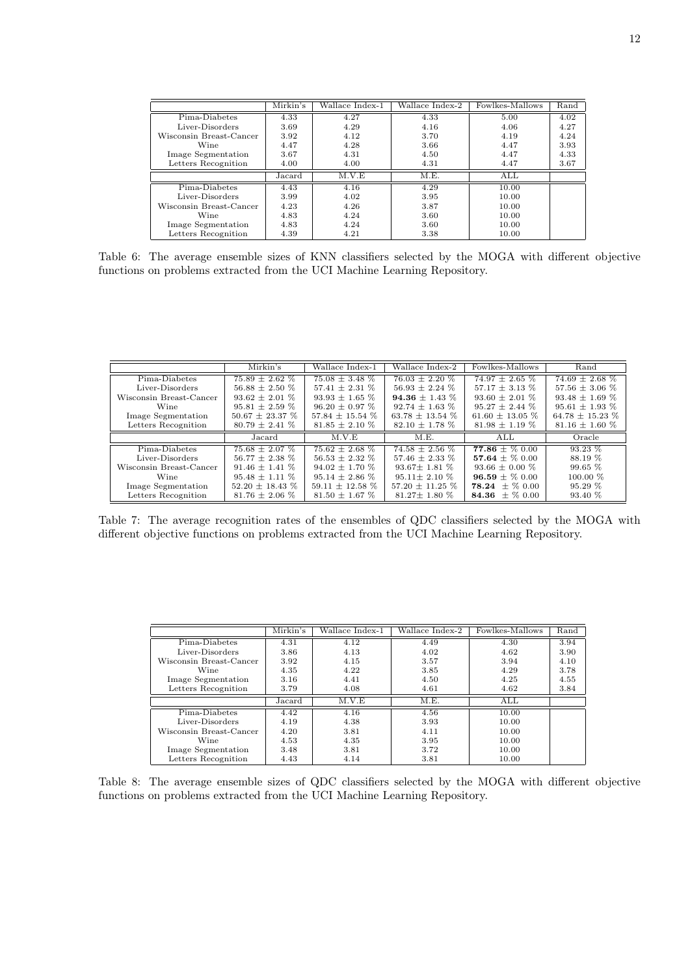<span id="page-11-0"></span>

|                         | Mirkin's | Wallace Index-1 | Wallace Index-2 | Fowlkes-Mallows | Rand |
|-------------------------|----------|-----------------|-----------------|-----------------|------|
| $Pima-Diabetes$         | 4.33     | 4.27            | 4.33            | 5.00            | 4.02 |
| Liver-Disorders         | 3.69     | 4.29            | 4.16            | 4.06            | 4.27 |
| Wisconsin Breast-Cancer | 3.92     | 4.12            | 3.70            | 4.19            | 4.24 |
| Wine                    | 4.47     | 4.28            | 3.66            | 4.47            | 3.93 |
| Image Segmentation      | 3.67     | 4.31            | 4.50            | 4.47            | 4.33 |
| Letters Recognition     | 4.00     | 4.00            | 4.31            | 4.47            | 3.67 |
|                         | Jacard   | M.V.E           | M.E.            | ALL             |      |
| Pima-Diabetes           | 4.43     | 4.16            | 4.29            | 10.00           |      |
| Liver-Disorders         | 3.99     | 4.02            | 3.95            | 10.00           |      |
| Wisconsin Breast-Cancer | 4.23     | 4.26            | 3.87            | 10.00           |      |
| Wine                    | 4.83     | 4.24            | 3.60            | 10.00           |      |
| Image Segmentation      | 4.83     | 4.24            | 3.60            | 10.00           |      |
| Letters Recognition     | 4.39     | 4.21            | 3.38            | 10.00           |      |

Table 6: The average ensemble sizes of KNN classifiers selected by the MOGA with different objective functions on problems extracted from the UCI Machine Learning Repository.

|                         | Mirkin's            | Wallace Index-1        | Wallace Index-2     | Fowlkes-Mallows     | Rand                |
|-------------------------|---------------------|------------------------|---------------------|---------------------|---------------------|
| Pima-Diabetes           | $75.89 \pm 2.62\%$  | $75.08 \pm 3.48$ %     | $76.03 \pm 2.20 \%$ | $74.97 \pm 2.65\%$  | $74.69 \pm 2.68$ %  |
| Liver-Disorders         | $56.88 \pm 2.50 \%$ | $57.41 + 2.31 %$       | $56.93 + 2.24\%$    | $57.17 + 3.13$ %    | 57.56 $\pm$ 3.06 %  |
| Wisconsin Breast-Cancer | $93.62 + 2.01 %$    | $93.93 \pm 1.65$ %     | $94.36 + 1.43\%$    | $93.60 + 2.01 %$    | $93.48 \pm 1.69$ %  |
| Wine                    | $95.81 + 2.59 %$    | $96.20 + 0.97\%$       | $92.74 + 1.63 %$    | $95.27 + 2.44\%$    | $95.61 + 1.93\%$    |
| Image Segmentation      | $50.67 \pm 23.37$ % | 57.84 $\pm$ 15.54 $\%$ | $63.78 \pm 13.54$ % | 61.60 $\pm$ 13.05 % | $64.78 \pm 15.23$ % |
| Letters Recognition     | $80.79 \pm 2.41 \%$ | $81.85 \pm 2.10 \%$    | $82.10 \pm 1.78$ %  | $81.98 \pm 1.19\%$  | $81.16 \pm 1.60 \%$ |
|                         | Jacard              | M.V.E                  | M.E.                | ALI                 | Oracle              |
| Pima-Diabetes           | $75.68 + 2.07 %$    | $75.62 + 2.68 %$       | $74.58 \pm 2.56$ %  | $77.86 + %0.00$     | $93.23\%$           |
| Liver-Disorders         | $56.77 \pm 2.38$ %  | $56.53 \pm 2.32\%$     | $57.46 + 2.33\%$    | 57.64 $+$ % 0.00    | 88.19 %             |
| Wisconsin Breast-Cancer | $91.46 \pm 1.41 \%$ | $94.02 \pm 1.70$ %     | $93.67 + 1.81\%$    | $93.66 \pm 0.00 \%$ | $99.65\%$           |
| Wine                    | $95.48 \pm 1.11$ %  | $95.14 \pm 2.86 \%$    | $95.11 \pm 2.10\%$  | $96.59 \pm \% 0.00$ | $100.00\%$          |
| Image Segmentation      | $52.20 + 18.43$ %   | $59.11 \pm 12.58$ %    | $57.20 + 11.25$ %   | $78.24 + % 0.00$    | 95.29%              |
| Letters Recognition     | $81.76 \pm 2.06 \%$ | $81.50 \pm 1.67 \%$    | $81.27 \pm 1.80$ %  | 84.36 $\pm$ % 0.00  | 93.40 %             |

Table 7: The average recognition rates of the ensembles of QDC classifiers selected by the MOGA with different objective functions on problems extracted from the UCI Machine Learning Repository.

<span id="page-11-2"></span><span id="page-11-1"></span>

|                         | Mirkin's | Wallace Index-1 | Wallace Index-2 | Fowlkes-Mallows           | Rand |
|-------------------------|----------|-----------------|-----------------|---------------------------|------|
| Pima-Diabetes           | 4.31     | 4.12            | 4.49            | 4.30                      | 3.94 |
| Liver-Disorders         | 3.86     | 4.13            | 4.02            | 4.62                      | 3.90 |
| Wisconsin Breast-Cancer | 3.92     | 4.15            | 3.57            | 3.94                      | 4.10 |
| Wine                    | 4.35     | 4.22            | 3.85            | 4.29                      | 3.78 |
| Image Segmentation      | 3.16     | 4.41            | 4.50            | 4.25                      | 4.55 |
| Letters Recognition     | 3.79     | 4.08            | 4.61            | 4.62                      | 3.84 |
|                         | Jacard   | M.V.E           | M.E.            | $\overline{\mathrm{ALL}}$ |      |
| Pima-Diabetes           | 4.42     | 4.16            | 4.56            | 10.00                     |      |
| Liver-Disorders         | 4.19     | 4.38            | 3.93            | 10.00                     |      |
| Wisconsin Breast-Cancer | 4.20     | 3.81            | 4.11            | 10.00                     |      |
| Wine                    | 4.53     | 4.35            | 3.95            | 10.00                     |      |
| Image Segmentation      | 3.48     | 3.81            | 3.72            | 10.00                     |      |
| Letters Recognition     | 4.43     | 4.14            | 3.81            | 10.00                     |      |

Table 8: The average ensemble sizes of QDC classifiers selected by the MOGA with different objective functions on problems extracted from the UCI Machine Learning Repository.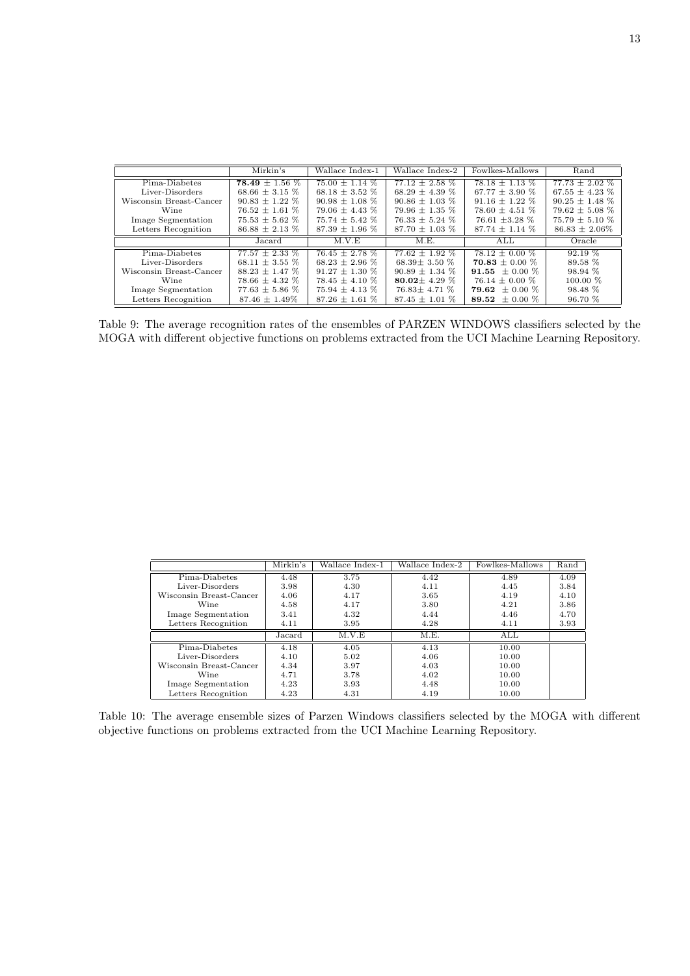<span id="page-12-1"></span>

|                         | Mirkin's           | Wallace Index-1     | Wallace Index-2     | Fowlkes-Mallows     | Rand                |
|-------------------------|--------------------|---------------------|---------------------|---------------------|---------------------|
| Pima-Diabetes           | 78.49 $\pm$ 1.56 % | $75.00 + 1.14\%$    | $77.12 \pm 2.58$ %  | $78.18 \pm 1.13\%$  | $77.73 + 2.02 \%$   |
| Liver-Disorders         | $68.66 + 3.15\%$   | $68.18 + 3.52\%$    | $68.29 + 4.39\%$    | $67.77 + 3.90\%$    | $67.55 \pm 4.23$ %  |
| Wisconsin Breast-Cancer | $90.83 + 1.22\%$   | $90.98 + 1.08\%$    | $90.86 + 1.03 %$    | $91.16 + 1.22\%$    | $90.25 + 1.48\%$    |
| Wine                    | $76.52 + 1.61 %$   | $79.06 + 4.43\%$    | $79.96 + 1.35\%$    | $78.60 \pm 4.51 \%$ | $79.62 \pm 5.08 \%$ |
| Image Segmentation      | $75.53 + 5.62\%$   | $75.74 + 5.42\%$    | $76.33 + 5.24\%$    | $76.61 + 3.28$ %    | $75.79 \pm 5.10 \%$ |
| Letters Recognition     | $86.88 \pm 2.13\%$ | $87.39 + 1.96 %$    | $87.70 + 1.03 %$    | $87.74 \pm 1.14$ %  | $86.83 \pm 2.06\%$  |
|                         | Jacard             | M.V.E               | M.E.                | ALI                 | Oracle              |
| Pima-Diabetes           | $77.57 + 2.33\%$   | $76.45 + 2.78\%$    | $77.62 + 1.92\%$    | $78.12 \pm 0.00 \%$ | 92.19%              |
| Liver-Disorders         | $68.11 + 3.55\%$   | $68.23 + 2.96\%$    | $68.39 + 3.50\%$    | $70.83 + 0.00 %$    | 89.58 %             |
| Wisconsin Breast-Cancer | $88.23 + 1.47\%$   | $91.27 + 1.30 %$    | $90.89 + 1.34\%$    | $91.55 + 0.00 \%$   | 98.94 %             |
| Wine                    | $78.66 + 4.32\%$   | $78.45 + 4.10\%$    | $80.02 + 4.29\%$    | $76.14 + 0.00 \%$   | $100.00\%$          |
| Image Segmentation      | $77.63 + 5.86 %$   | $75.94 + 4.13\%$    | $76.83 + 4.71$ %    | $79.62 + 0.00 \%$   | 98.48 %             |
| Letters Recognition     | $87.46 \pm 1.49\%$ | $87.26 \pm 1.61 \%$ | $87.45 \pm 1.01 \%$ | 89.52 $\pm$ 0.00 %  | 96.70 %             |

Table 9: The average recognition rates of the ensembles of PARZEN WINDOWS classifiers selected by the MOGA with different objective functions on problems extracted from the UCI Machine Learning Repository.

<span id="page-12-0"></span>

|                         | Mirkin's | Wallace Index-1 | Wallace Index-2 | Fowlkes-Mallows | Rand |
|-------------------------|----------|-----------------|-----------------|-----------------|------|
| Pima-Diabetes           | 4.48     | 3.75            | 4.42            | 4.89            | 4.09 |
| Liver-Disorders         | 3.98     | 4.30            | 4.11            | 4.45            | 3.84 |
| Wisconsin Breast-Cancer | 4.06     | 4.17            | 3.65            | 4.19            | 4.10 |
| Wine                    | 4.58     | 4.17            | 3.80            | 4.21            | 3.86 |
| Image Segmentation      | 3.41     | 4.32            | 4.44            | 4.46            | 4.70 |
| Letters Recognition     | 4.11     | 3.95            | 4.28            | 4.11            | 3.93 |
|                         | Jacard   | M.V.E           | M.E.            | ALL             |      |
| Pima-Diabetes           | 4.18     | 4.05            | 4.13            | 10.00           |      |
| Liver-Disorders         | 4.10     | 5.02            | 4.06            | 10.00           |      |
| Wisconsin Breast-Cancer | 4.34     | 3.97            | 4.03            | 10.00           |      |
| Wine                    | 4.71     | 3.78            | 4.02            | 10.00           |      |
| Image Segmentation      | 4.23     | 3.93            | 4.48            | 10.00           |      |
| Letters Recognition     | 4.23     | 4.31            | 4.19            | 10.00           |      |

Table 10: The average ensemble sizes of Parzen Windows classifiers selected by the MOGA with different objective functions on problems extracted from the UCI Machine Learning Repository.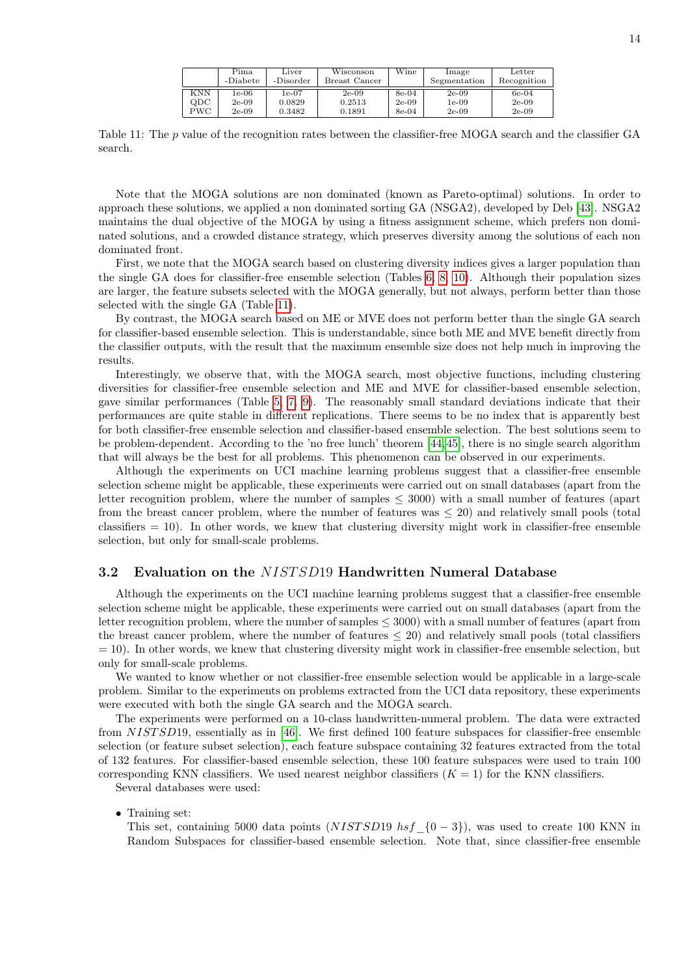<span id="page-13-0"></span>

|     | Pima     | Liver     | Wisconson     | Wine     | Image        | Letter      |
|-----|----------|-----------|---------------|----------|--------------|-------------|
|     | -Diabete | -Disorder | Breast Cancer |          | Segmentation | Recognition |
| KNN | 1e-06    | $1e-07$   | $2e-09$       | $8e-04$  | $2e-0.9$     | $6e-04$     |
| QDC | $2e-09$  | 0.0829    | 0.2513        | $2e-0.9$ | $1e-09$      | $2e-09$     |
| PWC | $2e-09$  | 0.3482    | 0.1891        | 8e-04    | $2e-0.9$     | $2e-09$     |

Table 11: The p value of the recognition rates between the classifier-free MOGA search and the classifier GA search.

Note that the MOGA solutions are non dominated (known as Pareto-optimal) solutions. In order to approach these solutions, we applied a non dominated sorting GA (NSGA2), developed by Deb [\[43\]](#page-22-9). NSGA2 maintains the dual objective of the MOGA by using a fitness assignment scheme, which prefers non dominated solutions, and a crowded distance strategy, which preserves diversity among the solutions of each non dominated front.

First, we note that the MOGA search based on clustering diversity indices gives a larger population than the single GA does for classifier-free ensemble selection (Tables [6,](#page-11-0) [8,](#page-11-1) [10\)](#page-12-0). Although their population sizes are larger, the feature subsets selected with the MOGA generally, but not always, perform better than those selected with the single GA (Table [11\)](#page-13-0).

By contrast, the MOGA search based on ME or MVE does not perform better than the single GA search for classifier-based ensemble selection. This is understandable, since both ME and MVE benefit directly from the classifier outputs, with the result that the maximum ensemble size does not help much in improving the results.

Interestingly, we observe that, with the MOGA search, most objective functions, including clustering diversities for classifier-free ensemble selection and ME and MVE for classifier-based ensemble selection, gave similar performances (Table [5,](#page-10-0) [7,](#page-11-2) [9\)](#page-12-1). The reasonably small standard deviations indicate that their performances are quite stable in different replications. There seems to be no index that is apparently best for both classifier-free ensemble selection and classifier-based ensemble selection. The best solutions seem to be problem-dependent. According to the 'no free lunch' theorem [\[44,](#page-22-10)[45\]](#page-22-11), there is no single search algorithm that will always be the best for all problems. This phenomenon can be observed in our experiments.

Although the experiments on UCI machine learning problems suggest that a classifier-free ensemble selection scheme might be applicable, these experiments were carried out on small databases (apart from the letter recognition problem, where the number of samples  $\leq$  3000) with a small number of features (apart from the breast cancer problem, where the number of features was  $\leq 20$ ) and relatively small pools (total classifiers  $= 10$ ). In other words, we knew that clustering diversity might work in classifier-free ensemble selection, but only for small-scale problems.

### 3.2 Evaluation on the NISTSD19 Handwritten Numeral Database

Although the experiments on the UCI machine learning problems suggest that a classifier-free ensemble selection scheme might be applicable, these experiments were carried out on small databases (apart from the letter recognition problem, where the number of samples  $\leq$  3000) with a small number of features (apart from the breast cancer problem, where the number of features  $\leq$  20) and relatively small pools (total classifiers  $= 10$ ). In other words, we knew that clustering diversity might work in classifier-free ensemble selection, but only for small-scale problems.

We wanted to know whether or not classifier-free ensemble selection would be applicable in a large-scale problem. Similar to the experiments on problems extracted from the UCI data repository, these experiments were executed with both the single GA search and the MOGA search.

The experiments were performed on a 10-class handwritten-numeral problem. The data were extracted from NISTSD19, essentially as in [\[46\]](#page-22-12). We first defined 100 feature subspaces for classifier-free ensemble selection (or feature subset selection), each feature subspace containing 32 features extracted from the total of 132 features. For classifier-based ensemble selection, these 100 feature subspaces were used to train 100 corresponding KNN classifiers. We used nearest neighbor classifiers  $(K = 1)$  for the KNN classifiers.

Several databases were used:

#### • Training set:

This set, containing 5000 data points  $(NISTSD19 hsf_{10} - 3)$ , was used to create 100 KNN in Random Subspaces for classifier-based ensemble selection. Note that, since classifier-free ensemble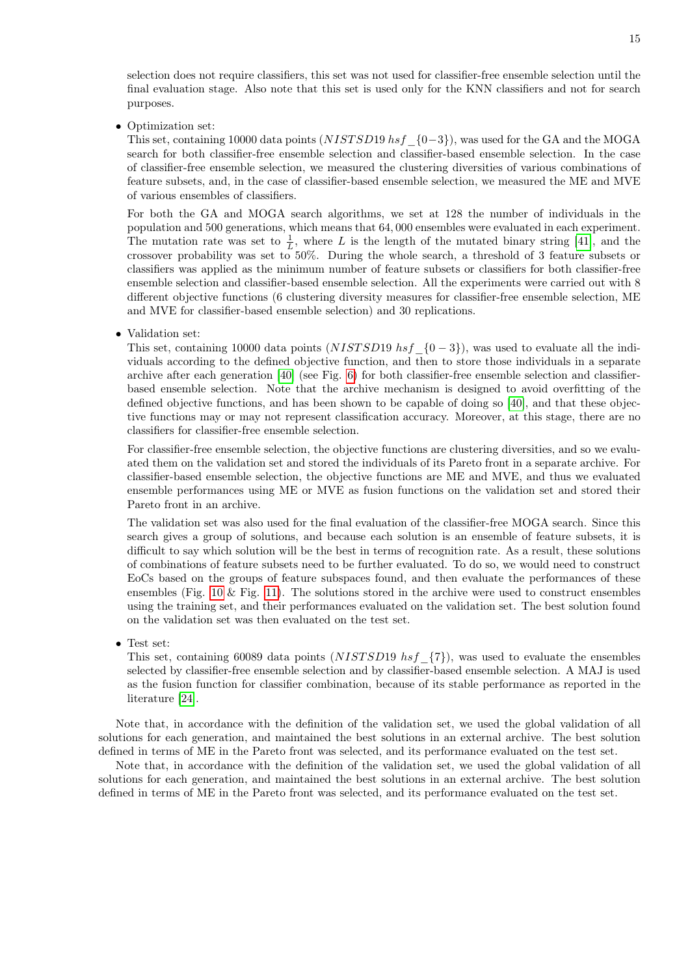selection does not require classifiers, this set was not used for classifier-free ensemble selection until the final evaluation stage. Also note that this set is used only for the KNN classifiers and not for search purposes.

• Optimization set:

This set, containing 10000 data points  $(NISTSD19 \; hsf_{6}^{0}-10^{-3})$ , was used for the GA and the MOGA search for both classifier-free ensemble selection and classifier-based ensemble selection. In the case of classifier-free ensemble selection, we measured the clustering diversities of various combinations of feature subsets, and, in the case of classifier-based ensemble selection, we measured the ME and MVE of various ensembles of classifiers.

For both the GA and MOGA search algorithms, we set at 128 the number of individuals in the population and 500 generations, which means that 64, 000 ensembles were evaluated in each experiment. The mutation rate was set to  $\frac{1}{L}$ , where L is the length of the mutated binary string [\[41\]](#page-22-7), and the crossover probability was set to 50%. During the whole search, a threshold of 3 feature subsets or classifiers was applied as the minimum number of feature subsets or classifiers for both classifier-free ensemble selection and classifier-based ensemble selection. All the experiments were carried out with 8 different objective functions (6 clustering diversity measures for classifier-free ensemble selection, ME and MVE for classifier-based ensemble selection) and 30 replications.

• Validation set:

This set, containing 10000 data points  $(NISTSD19 hsf_{10} - 3)$ , was used to evaluate all the individuals according to the defined objective function, and then to store those individuals in a separate archive after each generation [\[40\]](#page-22-6) (see Fig. [6\)](#page-8-0) for both classifier-free ensemble selection and classifierbased ensemble selection. Note that the archive mechanism is designed to avoid overfitting of the defined objective functions, and has been shown to be capable of doing so [\[40\]](#page-22-6), and that these objective functions may or may not represent classification accuracy. Moreover, at this stage, there are no classifiers for classifier-free ensemble selection.

For classifier-free ensemble selection, the objective functions are clustering diversities, and so we evaluated them on the validation set and stored the individuals of its Pareto front in a separate archive. For classifier-based ensemble selection, the objective functions are ME and MVE, and thus we evaluated ensemble performances using ME or MVE as fusion functions on the validation set and stored their Pareto front in an archive.

The validation set was also used for the final evaluation of the classifier-free MOGA search. Since this search gives a group of solutions, and because each solution is an ensemble of feature subsets, it is difficult to say which solution will be the best in terms of recognition rate. As a result, these solutions of combinations of feature subsets need to be further evaluated. To do so, we would need to construct EoCs based on the groups of feature subspaces found, and then evaluate the performances of these ensembles (Fig. [10](#page-18-0)  $\&$  Fig. [11\)](#page-19-0). The solutions stored in the archive were used to construct ensembles using the training set, and their performances evaluated on the validation set. The best solution found on the validation set was then evaluated on the test set.

• Test set:

This set, containing 60089 data points  $(NISTSD19$  hsf<sub>(7</sub>7), was used to evaluate the ensembles selected by classifier-free ensemble selection and by classifier-based ensemble selection. A MAJ is used as the fusion function for classifier combination, because of its stable performance as reported in the literature [\[24\]](#page-21-8).

Note that, in accordance with the definition of the validation set, we used the global validation of all solutions for each generation, and maintained the best solutions in an external archive. The best solution defined in terms of ME in the Pareto front was selected, and its performance evaluated on the test set.

Note that, in accordance with the definition of the validation set, we used the global validation of all solutions for each generation, and maintained the best solutions in an external archive. The best solution defined in terms of ME in the Pareto front was selected, and its performance evaluated on the test set.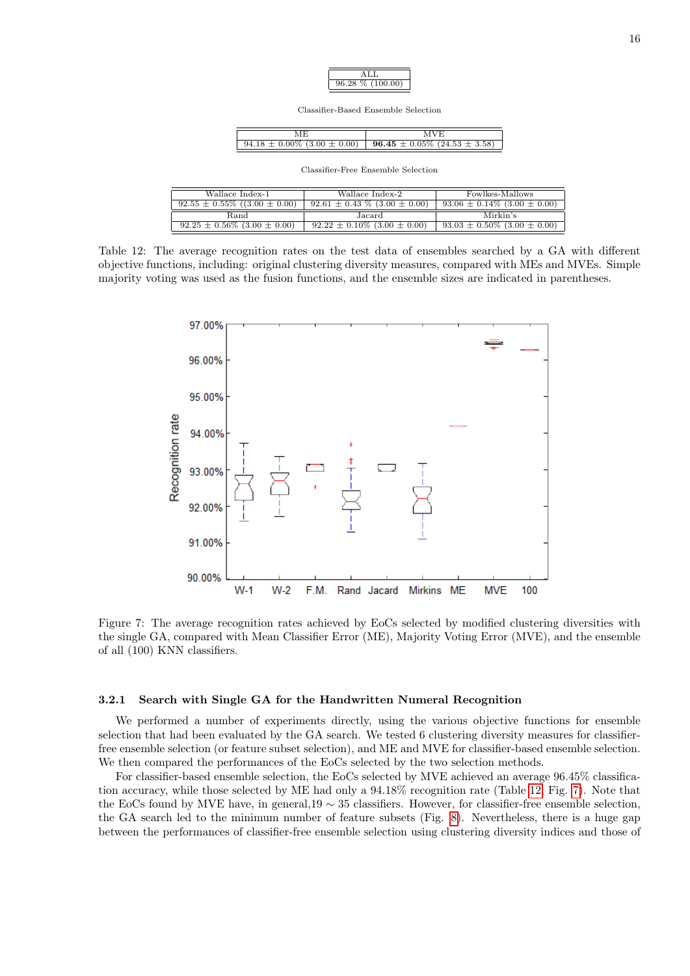|  | ⊰ % (100.00 |
|--|-------------|

Classifier-Based Ensemble Selection

| 0.00)<br>3.00<br>$V_{A}$ | 52<br>$0.05\%$<br>96.45<br>24<br>+. ՕԺ |
|--------------------------|----------------------------------------|

<span id="page-15-0"></span>Classifier-Free Ensemble Selection

| Wallace Index-1                       | Wallace Index-2                      | Fowlkes-Mallows                      |
|---------------------------------------|--------------------------------------|--------------------------------------|
| $92.55 \pm 0.55\%$ ((3.00 $\pm$ 0.00) | $92.61 \pm 0.43 \% (3.00 \pm 0.00)$  | $93.06 \pm 0.14\%$ (3.00 $\pm$ 0.00) |
| Rand                                  | Jacard.                              | Mirkin's                             |
| $92.25 \pm 0.56\%$ (3.00 $\pm$ 0.00)  | $92.22 \pm 0.10\%$ (3.00 $\pm$ 0.00) | $93.03 \pm 0.50\%$ (3.00 $\pm$ 0.00) |

Table 12: The average recognition rates on the test data of ensembles searched by a GA with different objective functions, including: original clustering diversity measures, compared with MEs and MVEs. Simple majority voting was used as the fusion functions, and the ensemble sizes are indicated in parentheses.



<span id="page-15-1"></span>Figure 7: The average recognition rates achieved by EoCs selected by modified clustering diversities with the single GA, compared with Mean Classifier Error (ME), Majority Voting Error (MVE), and the ensemble of all (100) KNN classifiers.

## 3.2.1 Search with Single GA for the Handwritten Numeral Recognition

We performed a number of experiments directly, using the various objective functions for ensemble selection that had been evaluated by the GA search. We tested 6 clustering diversity measures for classifierfree ensemble selection (or feature subset selection), and ME and MVE for classifier-based ensemble selection. We then compared the performances of the EoCs selected by the two selection methods.

For classifier-based ensemble selection, the EoCs selected by MVE achieved an average 96.45% classification accuracy, while those selected by ME had only a 94.18% recognition rate (Table [12;](#page-15-0) Fig. [7\)](#page-15-1). Note that the EoCs found by MVE have, in general,19  $\sim$  35 classifiers. However, for classifier-free ensemble selection, the GA search led to the minimum number of feature subsets (Fig. [8\)](#page-16-0). Nevertheless, there is a huge gap between the performances of classifier-free ensemble selection using clustering diversity indices and those of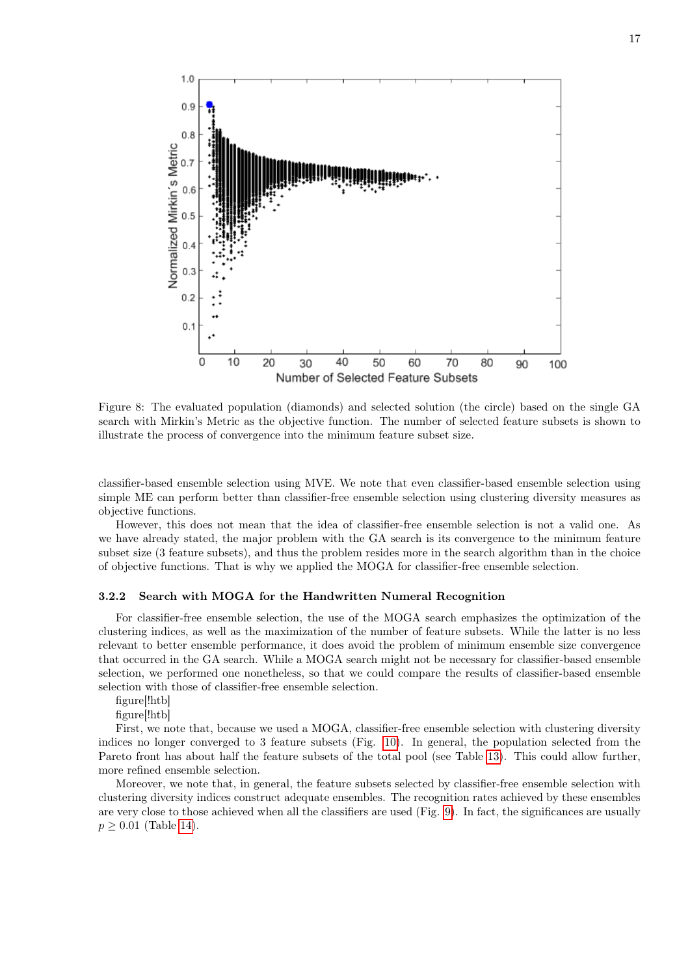

<span id="page-16-0"></span>Figure 8: The evaluated population (diamonds) and selected solution (the circle) based on the single GA search with Mirkin's Metric as the objective function. The number of selected feature subsets is shown to illustrate the process of convergence into the minimum feature subset size.

classifier-based ensemble selection using MVE. We note that even classifier-based ensemble selection using simple ME can perform better than classifier-free ensemble selection using clustering diversity measures as objective functions.

However, this does not mean that the idea of classifier-free ensemble selection is not a valid one. As we have already stated, the major problem with the GA search is its convergence to the minimum feature subset size (3 feature subsets), and thus the problem resides more in the search algorithm than in the choice of objective functions. That is why we applied the MOGA for classifier-free ensemble selection.

#### 3.2.2 Search with MOGA for the Handwritten Numeral Recognition

For classifier-free ensemble selection, the use of the MOGA search emphasizes the optimization of the clustering indices, as well as the maximization of the number of feature subsets. While the latter is no less relevant to better ensemble performance, it does avoid the problem of minimum ensemble size convergence that occurred in the GA search. While a MOGA search might not be necessary for classifier-based ensemble selection, we performed one nonetheless, so that we could compare the results of classifier-based ensemble selection with those of classifier-free ensemble selection.

figure[!htb]

figure[!htb]

First, we note that, because we used a MOGA, classifier-free ensemble selection with clustering diversity indices no longer converged to 3 feature subsets (Fig. [10\)](#page-18-0). In general, the population selected from the Pareto front has about half the feature subsets of the total pool (see Table [13\)](#page-17-0). This could allow further, more refined ensemble selection.

Moreover, we note that, in general, the feature subsets selected by classifier-free ensemble selection with clustering diversity indices construct adequate ensembles. The recognition rates achieved by these ensembles are very close to those achieved when all the classifiers are used (Fig. [9\)](#page-17-1). In fact, the significances are usually  $p \geq 0.01$  (Table [14\)](#page-18-1).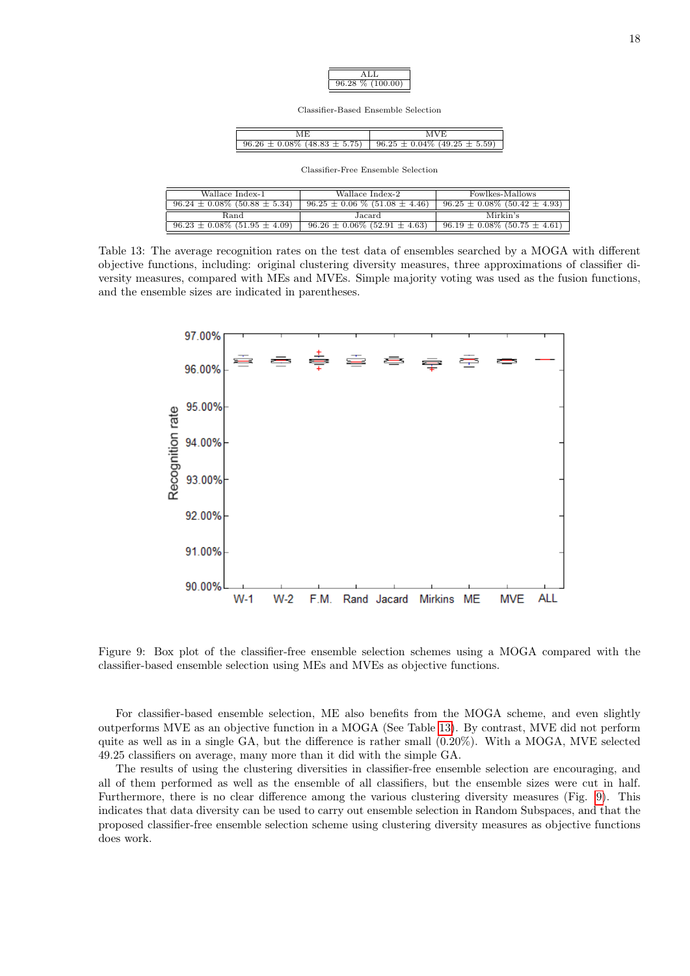|  |  | } % (100.00) |  |  |
|--|--|--------------|--|--|

Classifier-Based Ensemble Selection

| 75)<br>к<br>- 118<br>ッム<br>ر.<br><u>.</u><br>, ou<br>≖∪ | $\overline{\Omega}$<br>$\sim$ $\sim$<br>96<br>4%<br>$\mathbf{A}$<br>0.0 <sup>2</sup><br>.<br>ن ک<br>≖ |  |
|---------------------------------------------------------|-------------------------------------------------------------------------------------------------------|--|

<span id="page-17-0"></span>

| Wallace Index-1                       | Wallace Index-2                       | Fowlkes-Mallows                       |
|---------------------------------------|---------------------------------------|---------------------------------------|
| $96.24 \pm 0.08\%$ (50.88 $\pm$ 5.34) | $96.25 \pm 0.06\%$ (51.08 $\pm$ 4.46) | $96.25 \pm 0.08\%$ (50.42 $\pm$ 4.93) |
| Rand                                  | Jacard.                               | Mirkin's                              |
| $96.23 \pm 0.08\%$ (51.95 $\pm$ 4.09) | $96.26 \pm 0.06\%$ (52.91 $\pm$ 4.63) | $96.19 \pm 0.08\%$ (50.75 $\pm$ 4.61) |

Table 13: The average recognition rates on the test data of ensembles searched by a MOGA with different objective functions, including: original clustering diversity measures, three approximations of classifier diversity measures, compared with MEs and MVEs. Simple majority voting was used as the fusion functions, and the ensemble sizes are indicated in parentheses.



<span id="page-17-1"></span>Figure 9: Box plot of the classifier-free ensemble selection schemes using a MOGA compared with the classifier-based ensemble selection using MEs and MVEs as objective functions.

For classifier-based ensemble selection, ME also benefits from the MOGA scheme, and even slightly outperforms MVE as an objective function in a MOGA (See Table [13\)](#page-17-0). By contrast, MVE did not perform quite as well as in a single GA, but the difference is rather small  $(0.20\%)$ . With a MOGA, MVE selected 49.25 classifiers on average, many more than it did with the simple GA.

The results of using the clustering diversities in classifier-free ensemble selection are encouraging, and all of them performed as well as the ensemble of all classifiers, but the ensemble sizes were cut in half. Furthermore, there is no clear difference among the various clustering diversity measures (Fig. [9\)](#page-17-1). This indicates that data diversity can be used to carry out ensemble selection in Random Subspaces, and that the proposed classifier-free ensemble selection scheme using clustering diversity measures as objective functions does work.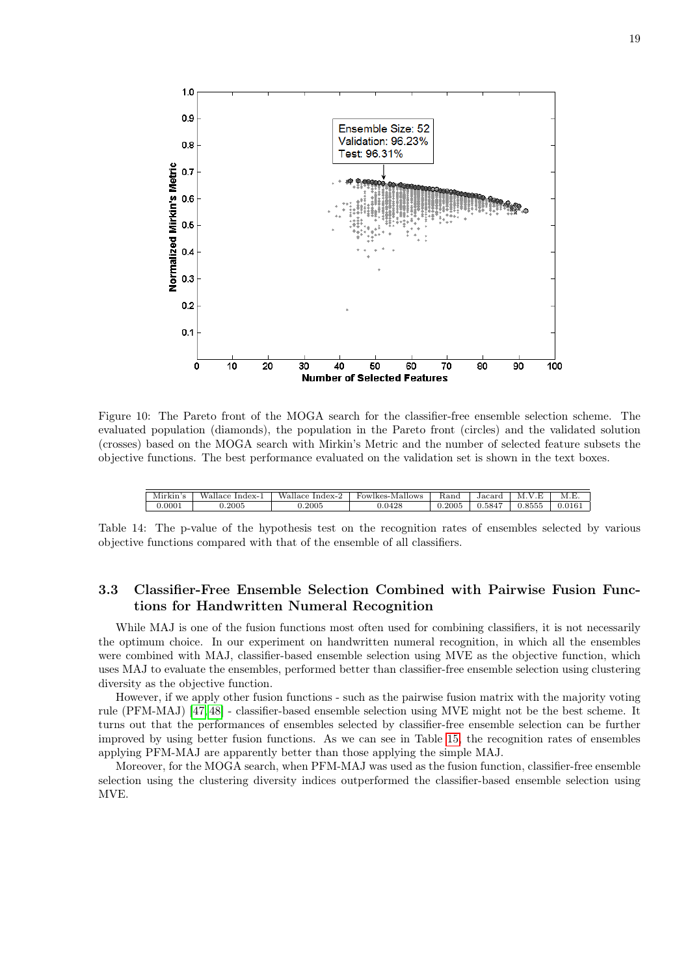

Figure 10: The Pareto front of the MOGA search for the classifier-free ensemble selection scheme. The evaluated population (diamonds), the population in the Pareto front (circles) and the validated solution (crosses) based on the MOGA search with Mirkin's Metric and the number of selected feature subsets the objective functions. The best performance evaluated on the validation set is shown in the text boxes.

<span id="page-18-1"></span><span id="page-18-0"></span>

| Mirkin | <b>TTI</b><br>Wallace<br>$'$ ndex- $\lrcorner$ | Wallace<br>Index-2 | $\overline{\phantom{a}}$<br>Fowlkes-<br>Mallows | Rand       | Jacard | $\mathbf{v}$<br>$\sim$<br>м. | . .<br>M.E |
|--------|------------------------------------------------|--------------------|-------------------------------------------------|------------|--------|------------------------------|------------|
| 0.0001 | ${0.2005}$                                     | 0.2005             | $_{0.0428}$                                     | ${0.2005}$ | 0.5847 | 0.8555                       | 0.0161     |

Table 14: The p-value of the hypothesis test on the recognition rates of ensembles selected by various objective functions compared with that of the ensemble of all classifiers.

# 3.3 Classifier-Free Ensemble Selection Combined with Pairwise Fusion Functions for Handwritten Numeral Recognition

While MAJ is one of the fusion functions most often used for combining classifiers, it is not necessarily the optimum choice. In our experiment on handwritten numeral recognition, in which all the ensembles were combined with MAJ, classifier-based ensemble selection using MVE as the objective function, which uses MAJ to evaluate the ensembles, performed better than classifier-free ensemble selection using clustering diversity as the objective function.

However, if we apply other fusion functions - such as the pairwise fusion matrix with the majority voting rule (PFM-MAJ) [\[47,](#page-22-13) [48\]](#page-23-0) - classifier-based ensemble selection using MVE might not be the best scheme. It turns out that the performances of ensembles selected by classifier-free ensemble selection can be further improved by using better fusion functions. As we can see in Table [15,](#page-20-3) the recognition rates of ensembles applying PFM-MAJ are apparently better than those applying the simple MAJ.

Moreover, for the MOGA search, when PFM-MAJ was used as the fusion function, classifier-free ensemble selection using the clustering diversity indices outperformed the classifier-based ensemble selection using MVE.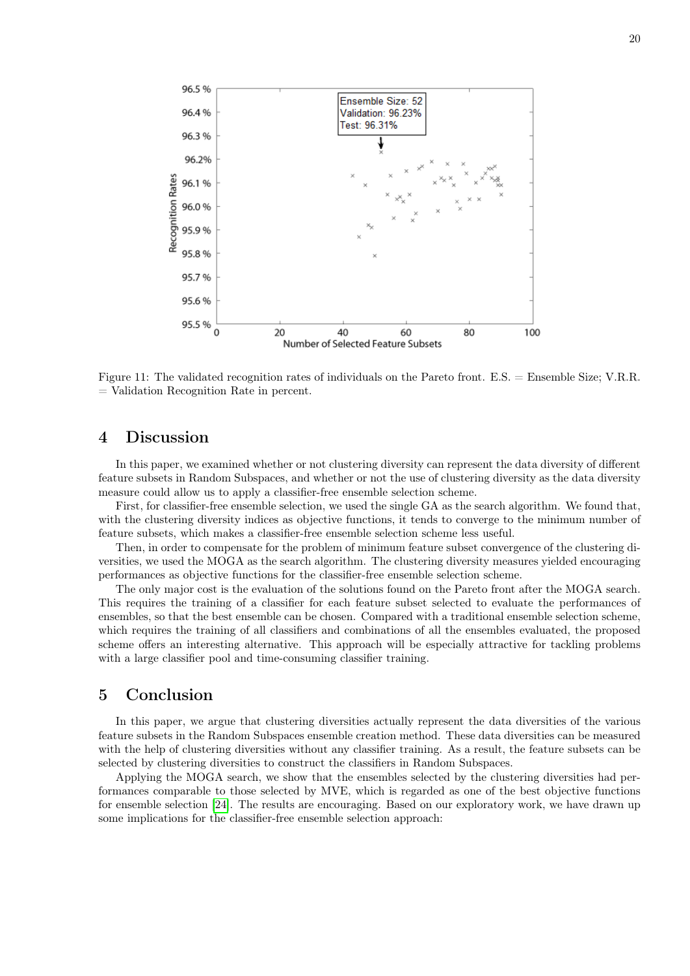

<span id="page-19-0"></span>Figure 11: The validated recognition rates of individuals on the Pareto front. E.S. = Ensemble Size; V.R.R. = Validation Recognition Rate in percent.

## 4 Discussion

In this paper, we examined whether or not clustering diversity can represent the data diversity of different feature subsets in Random Subspaces, and whether or not the use of clustering diversity as the data diversity measure could allow us to apply a classifier-free ensemble selection scheme.

First, for classifier-free ensemble selection, we used the single GA as the search algorithm. We found that, with the clustering diversity indices as objective functions, it tends to converge to the minimum number of feature subsets, which makes a classifier-free ensemble selection scheme less useful.

Then, in order to compensate for the problem of minimum feature subset convergence of the clustering diversities, we used the MOGA as the search algorithm. The clustering diversity measures yielded encouraging performances as objective functions for the classifier-free ensemble selection scheme.

The only major cost is the evaluation of the solutions found on the Pareto front after the MOGA search. This requires the training of a classifier for each feature subset selected to evaluate the performances of ensembles, so that the best ensemble can be chosen. Compared with a traditional ensemble selection scheme, which requires the training of all classifiers and combinations of all the ensembles evaluated, the proposed scheme offers an interesting alternative. This approach will be especially attractive for tackling problems with a large classifier pool and time-consuming classifier training.

## 5 Conclusion

In this paper, we argue that clustering diversities actually represent the data diversities of the various feature subsets in the Random Subspaces ensemble creation method. These data diversities can be measured with the help of clustering diversities without any classifier training. As a result, the feature subsets can be selected by clustering diversities to construct the classifiers in Random Subspaces.

Applying the MOGA search, we show that the ensembles selected by the clustering diversities had performances comparable to those selected by MVE, which is regarded as one of the best objective functions for ensemble selection [\[24\]](#page-21-8). The results are encouraging. Based on our exploratory work, we have drawn up some implications for the classifier-free ensemble selection approach: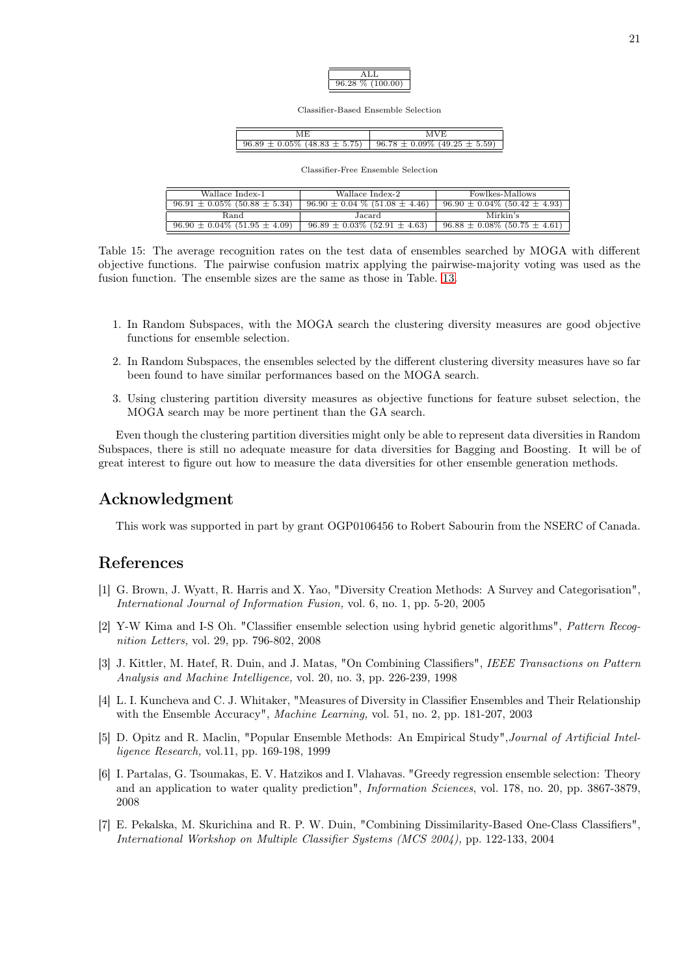|  |  | 3 % (10<br>10.OO |  |  |
|--|--|------------------|--|--|

Classifier-Based Ensemble Selection

|                          | $-$            |  |
|--------------------------|----------------|--|
| 75)<br>5.<br>96.89<br>15 | 50<br>96<br>лч |  |

<span id="page-20-3"></span>

| Wallace Index-1                       | Wallace Index-2                        | Fowlkes-Mallows                       |
|---------------------------------------|----------------------------------------|---------------------------------------|
| $96.91 \pm 0.05\%$ (50.88 $\pm$ 5.34) | $96.90 \pm 0.04 \%$ (51.08 $\pm$ 4.46) | $96.90 \pm 0.04\%$ (50.42 $\pm$ 4.93) |
| Rand                                  | Jacard.                                | Mirkin's                              |
| $96.90 \pm 0.04\%$ (51.95 $\pm$ 4.09) | $96.89 \pm 0.03\%$ (52.91 $\pm$ 4.63)  | $96.88 \pm 0.08\%$ (50.75 $\pm$ 4.61) |

Table 15: The average recognition rates on the test data of ensembles searched by MOGA with different objective functions. The pairwise confusion matrix applying the pairwise-majority voting was used as the fusion function. The ensemble sizes are the same as those in Table. [13.](#page-17-0)

- 1. In Random Subspaces, with the MOGA search the clustering diversity measures are good objective functions for ensemble selection.
- 2. In Random Subspaces, the ensembles selected by the different clustering diversity measures have so far been found to have similar performances based on the MOGA search.
- 3. Using clustering partition diversity measures as objective functions for feature subset selection, the MOGA search may be more pertinent than the GA search.

Even though the clustering partition diversities might only be able to represent data diversities in Random Subspaces, there is still no adequate measure for data diversities for Bagging and Boosting. It will be of great interest to figure out how to measure the data diversities for other ensemble generation methods.

# Acknowledgment

This work was supported in part by grant OGP0106456 to Robert Sabourin from the NSERC of Canada.

# References

- <span id="page-20-0"></span>[1] G. Brown, J. Wyatt, R. Harris and X. Yao, "Diversity Creation Methods: A Survey and Categorisation", International Journal of Information Fusion, vol. 6, no. 1, pp. 5-20, 2005
- [2] Y-W Kima and I-S Oh. "Classifier ensemble selection using hybrid genetic algorithms", Pattern Recognition Letters, vol. 29, pp. 796-802, 2008
- <span id="page-20-2"></span>[3] J. Kittler, M. Hatef, R. Duin, and J. Matas, "On Combining Classifiers", IEEE Transactions on Pattern Analysis and Machine Intelligence, vol. 20, no. 3, pp. 226-239, 1998
- <span id="page-20-1"></span>[4] L. I. Kuncheva and C. J. Whitaker, "Measures of Diversity in Classifier Ensembles and Their Relationship with the Ensemble Accuracy", Machine Learning, vol. 51, no. 2, pp. 181-207, 2003
- [5] D. Opitz and R. Maclin, "Popular Ensemble Methods: An Empirical Study",Journal of Artificial Intelligence Research, vol.11, pp. 169-198, 1999
- [6] I. Partalas, G. Tsoumakas, E. V. Hatzikos and I. Vlahavas. "Greedy regression ensemble selection: Theory and an application to water quality prediction", Information Sciences, vol. 178, no. 20, pp. 3867-3879, 2008
- [7] E. Pekalska, M. Skurichina and R. P. W. Duin, "Combining Dissimilarity-Based One-Class Classifiers", International Workshop on Multiple Classifier Systems (MCS 2004), pp. 122-133, 2004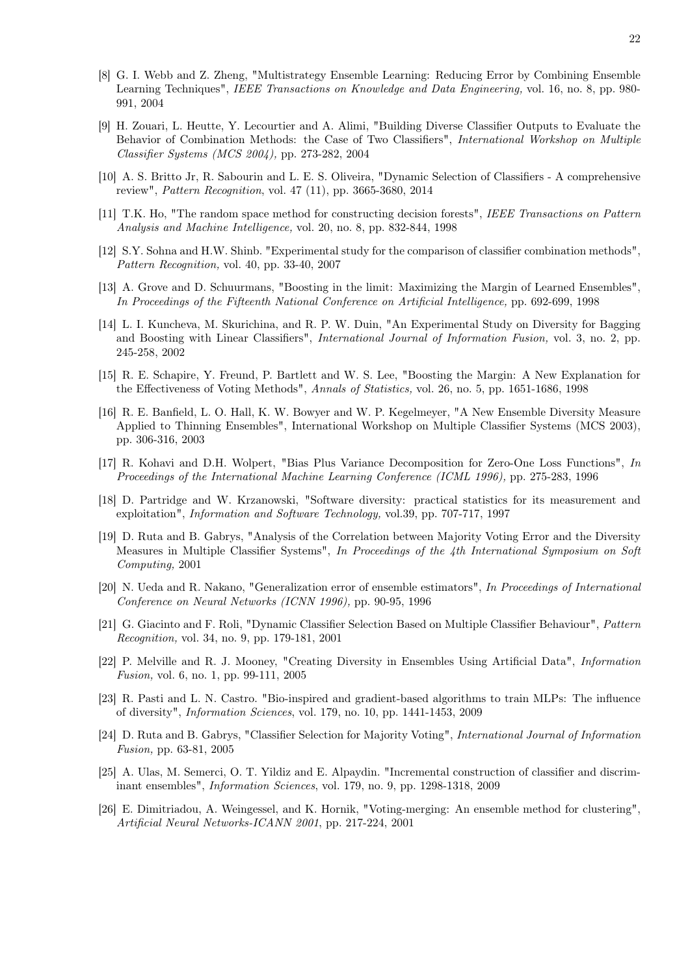- [8] G. I. Webb and Z. Zheng, "Multistrategy Ensemble Learning: Reducing Error by Combining Ensemble Learning Techniques", IEEE Transactions on Knowledge and Data Engineering, vol. 16, no. 8, pp. 980- 991, 2004
- [9] H. Zouari, L. Heutte, Y. Lecourtier and A. Alimi, "Building Diverse Classifier Outputs to Evaluate the Behavior of Combination Methods: the Case of Two Classifiers", International Workshop on Multiple Classifier Systems (MCS 2004), pp. 273-282, 2004
- <span id="page-21-0"></span>[10] A. S. Britto Jr, R. Sabourin and L. E. S. Oliveira, "Dynamic Selection of Classifiers - A comprehensive review", Pattern Recognition, vol. 47 (11), pp. 3665-3680, 2014
- <span id="page-21-1"></span>[11] T.K. Ho, "The random space method for constructing decision forests", IEEE Transactions on Pattern Analysis and Machine Intelligence, vol. 20, no. 8, pp. 832-844, 1998
- <span id="page-21-2"></span>[12] S.Y. Sohna and H.W. Shinb. "Experimental study for the comparison of classifier combination methods", Pattern Recognition, vol. 40, pp. 33-40, 2007
- <span id="page-21-3"></span>[13] A. Grove and D. Schuurmans, "Boosting in the limit: Maximizing the Margin of Learned Ensembles", In Proceedings of the Fifteenth National Conference on Artificial Intelligence, pp. 692-699, 1998
- <span id="page-21-11"></span>[14] L. I. Kuncheva, M. Skurichina, and R. P. W. Duin, "An Experimental Study on Diversity for Bagging and Boosting with Linear Classifiers", International Journal of Information Fusion, vol. 3, no. 2, pp. 245-258, 2002
- <span id="page-21-4"></span>[15] R. E. Schapire, Y. Freund, P. Bartlett and W. S. Lee, "Boosting the Margin: A New Explanation for the Effectiveness of Voting Methods", Annals of Statistics, vol. 26, no. 5, pp. 1651-1686, 1998
- <span id="page-21-5"></span>[16] R. E. Banfield, L. O. Hall, K. W. Bowyer and W. P. Kegelmeyer, "A New Ensemble Diversity Measure Applied to Thinning Ensembles", International Workshop on Multiple Classifier Systems (MCS 2003), pp. 306-316, 2003
- [17] R. Kohavi and D.H. Wolpert, "Bias Plus Variance Decomposition for Zero-One Loss Functions", In Proceedings of the International Machine Learning Conference (ICML 1996), pp. 275-283, 1996
- <span id="page-21-6"></span>[18] D. Partridge and W. Krzanowski, "Software diversity: practical statistics for its measurement and exploitation", Information and Software Technology, vol.39, pp. 707-717, 1997
- <span id="page-21-12"></span>[19] D. Ruta and B. Gabrys, "Analysis of the Correlation between Majority Voting Error and the Diversity Measures in Multiple Classifier Systems", In Proceedings of the 4th International Symposium on Soft Computing, 2001
- <span id="page-21-7"></span>[20] N. Ueda and R. Nakano, "Generalization error of ensemble estimators", In Proceedings of International Conference on Neural Networks (ICNN 1996), pp. 90-95, 1996
- <span id="page-21-9"></span>[21] G. Giacinto and F. Roli, "Dynamic Classifier Selection Based on Multiple Classifier Behaviour", Pattern Recognition, vol. 34, no. 9, pp. 179-181, 2001
- <span id="page-21-10"></span>[22] P. Melville and R. J. Mooney, "Creating Diversity in Ensembles Using Artificial Data", Information Fusion, vol. 6, no. 1, pp. 99-111, 2005
- <span id="page-21-13"></span>[23] R. Pasti and L. N. Castro. "Bio-inspired and gradient-based algorithms to train MLPs: The influence of diversity", Information Sciences, vol. 179, no. 10, pp. 1441-1453, 2009
- <span id="page-21-8"></span>[24] D. Ruta and B. Gabrys, "Classifier Selection for Majority Voting", International Journal of Information Fusion, pp. 63-81, 2005
- <span id="page-21-14"></span>[25] A. Ulas, M. Semerci, O. T. Yildiz and E. Alpaydin. "Incremental construction of classifier and discriminant ensembles", Information Sciences, vol. 179, no. 9, pp. 1298-1318, 2009
- <span id="page-21-15"></span>[26] E. Dimitriadou, A. Weingessel, and K. Hornik, "Voting-merging: An ensemble method for clustering", Artificial Neural Networks-ICANN 2001, pp. 217-224, 2001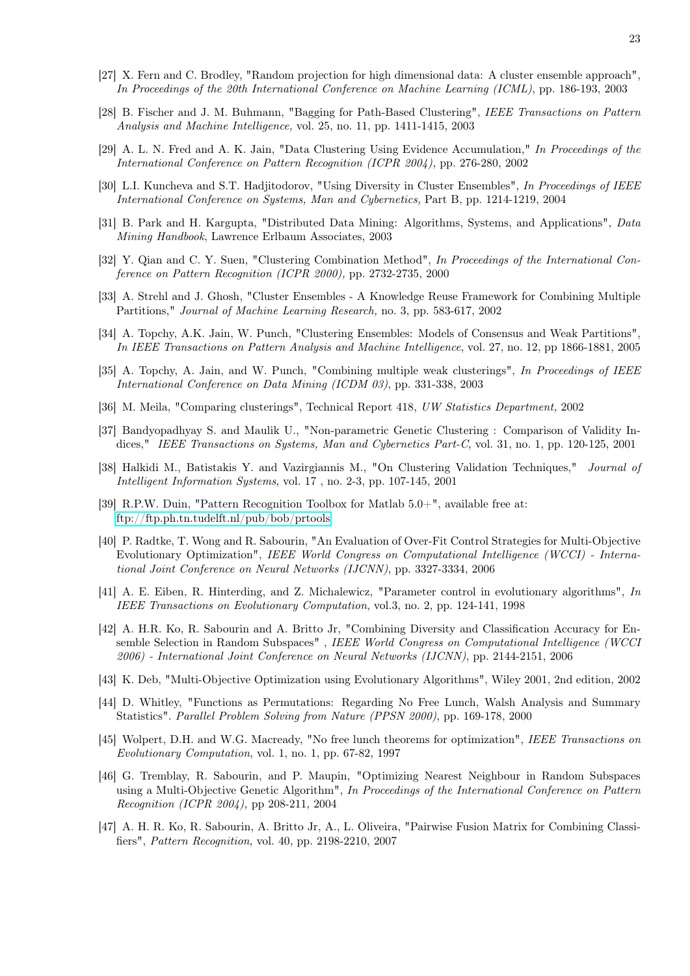- <span id="page-22-1"></span>[27] X. Fern and C. Brodley, "Random projection for high dimensional data: A cluster ensemble approach", In Proceedings of the 20th International Conference on Machine Learning (ICML), pp. 186-193, 2003
- [28] B. Fischer and J. M. Buhmann, "Bagging for Path-Based Clustering", IEEE Transactions on Pattern Analysis and Machine Intelligence, vol. 25, no. 11, pp. 1411-1415, 2003
- [29] A. L. N. Fred and A. K. Jain, "Data Clustering Using Evidence Accumulation," In Proceedings of the International Conference on Pattern Recognition (ICPR 2004), pp. 276-280, 2002
- [30] L.I. Kuncheva and S.T. Hadjitodorov, "Using Diversity in Cluster Ensembles", In Proceedings of IEEE International Conference on Systems, Man and Cybernetics, Part B, pp. 1214-1219, 2004
- [31] B. Park and H. Kargupta, "Distributed Data Mining: Algorithms, Systems, and Applications", Data Mining Handbook, Lawrence Erlbaum Associates, 2003
- [32] Y. Qian and C. Y. Suen, "Clustering Combination Method", In Proceedings of the International Conference on Pattern Recognition (ICPR 2000), pp. 2732-2735, 2000
- [33] A. Strehl and J. Ghosh, "Cluster Ensembles A Knowledge Reuse Framework for Combining Multiple Partitions," Journal of Machine Learning Research, no. 3, pp. 583-617, 2002
- [34] A. Topchy, A.K. Jain, W. Punch, "Clustering Ensembles: Models of Consensus and Weak Partitions", In IEEE Transactions on Pattern Analysis and Machine Intelligence, vol. 27, no. 12, pp 1866-1881, 2005
- <span id="page-22-0"></span>[35] A. Topchy, A. Jain, and W. Punch, "Combining multiple weak clusterings", In Proceedings of IEEE International Conference on Data Mining (ICDM 03), pp. 331-338, 2003
- <span id="page-22-2"></span>[36] M. Meila, "Comparing clusterings", Technical Report 418, UW Statistics Department, 2002
- <span id="page-22-3"></span>[37] Bandyopadhyay S. and Maulik U., "Non-parametric Genetic Clustering : Comparison of Validity Indices," IEEE Transactions on Systems, Man and Cybernetics Part-C, vol. 31, no. 1, pp. 120-125, 2001
- <span id="page-22-4"></span>[38] Halkidi M., Batistakis Y. and Vazirgiannis M., "On Clustering Validation Techniques," Journal of Intelligent Information Systems, vol. 17 , no. 2-3, pp. 107-145, 2001
- <span id="page-22-5"></span>[39] R.P.W. Duin, "Pattern Recognition Toolbox for Matlab 5.0+", available free at: <ftp://ftp.ph.tn.tudelft.nl/pub/bob/prtools>
- <span id="page-22-6"></span>[40] P. Radtke, T. Wong and R. Sabourin, "An Evaluation of Over-Fit Control Strategies for Multi-Objective Evolutionary Optimization", IEEE World Congress on Computational Intelligence (WCCI) - International Joint Conference on Neural Networks (IJCNN), pp. 3327-3334, 2006
- <span id="page-22-7"></span>[41] A. E. Eiben, R. Hinterding, and Z. Michalewicz, "Parameter control in evolutionary algorithms", In IEEE Transactions on Evolutionary Computation, vol.3, no. 2, pp. 124-141, 1998
- <span id="page-22-8"></span>[42] A. H.R. Ko, R. Sabourin and A. Britto Jr, "Combining Diversity and Classification Accuracy for Ensemble Selection in Random Subspaces" , IEEE World Congress on Computational Intelligence (WCCI 2006) - International Joint Conference on Neural Networks (IJCNN), pp. 2144-2151, 2006
- <span id="page-22-9"></span>[43] K. Deb, "Multi-Objective Optimization using Evolutionary Algorithms", Wiley 2001, 2nd edition, 2002
- <span id="page-22-10"></span>[44] D. Whitley, "Functions as Permutations: Regarding No Free Lunch, Walsh Analysis and Summary Statistics". Parallel Problem Solving from Nature (PPSN 2000), pp. 169-178, 2000
- <span id="page-22-11"></span>[45] Wolpert, D.H. and W.G. Macready, "No free lunch theorems for optimization", IEEE Transactions on Evolutionary Computation, vol. 1, no. 1, pp. 67-82, 1997
- <span id="page-22-12"></span>[46] G. Tremblay, R. Sabourin, and P. Maupin, "Optimizing Nearest Neighbour in Random Subspaces using a Multi-Objective Genetic Algorithm", In Proceedings of the International Conference on Pattern Recognition (ICPR 2004), pp 208-211, 2004
- <span id="page-22-13"></span>[47] A. H. R. Ko, R. Sabourin, A. Britto Jr, A., L. Oliveira, "Pairwise Fusion Matrix for Combining Classifiers", Pattern Recognition, vol. 40, pp. 2198-2210, 2007